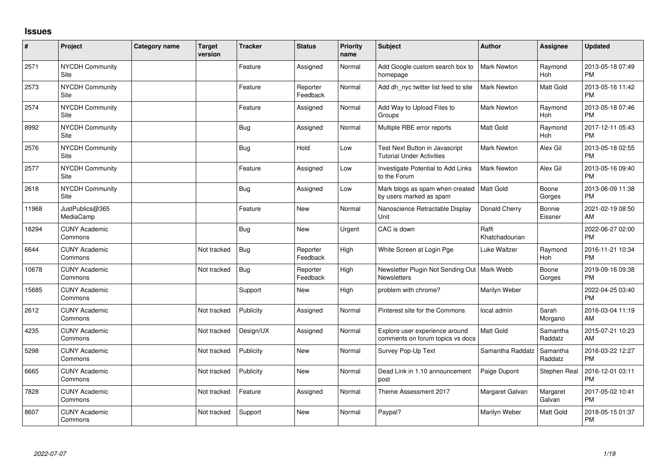## **Issues**

| ∦     | Project                         | <b>Category name</b> | <b>Target</b><br>version | <b>Tracker</b> | <b>Status</b>        | Priority<br>name | Subject                                                             | <b>Author</b>           | <b>Assignee</b>     | <b>Updated</b>                |
|-------|---------------------------------|----------------------|--------------------------|----------------|----------------------|------------------|---------------------------------------------------------------------|-------------------------|---------------------|-------------------------------|
| 2571  | <b>NYCDH Community</b><br>Site  |                      |                          | Feature        | Assigned             | Normal           | Add Google custom search box to<br>homepage                         | <b>Mark Newton</b>      | Raymond<br>Hoh      | 2013-05-18 07:49<br><b>PM</b> |
| 2573  | <b>NYCDH Community</b><br>Site  |                      |                          | Feature        | Reporter<br>Feedback | Normal           | Add dh_nyc twitter list feed to site                                | <b>Mark Newton</b>      | Matt Gold           | 2013-05-16 11:42<br><b>PM</b> |
| 2574  | <b>NYCDH Community</b><br>Site  |                      |                          | Feature        | Assigned             | Normal           | Add Way to Upload Files to<br>Groups                                | Mark Newton             | Raymond<br>Hoh      | 2013-05-18 07:46<br><b>PM</b> |
| 8992  | <b>NYCDH Community</b><br>Site  |                      |                          | Bug            | Assigned             | Normal           | Multiple RBE error reports                                          | Matt Gold               | Raymond<br>Hoh      | 2017-12-11 05:43<br><b>PM</b> |
| 2576  | <b>NYCDH Community</b><br>Site  |                      |                          | <b>Bug</b>     | Hold                 | Low              | Test Next Button in Javascript<br><b>Tutorial Under Activities</b>  | <b>Mark Newton</b>      | Alex Gil            | 2013-05-18 02:55<br><b>PM</b> |
| 2577  | NYCDH Community<br>Site         |                      |                          | Feature        | Assigned             | Low              | Investigate Potential to Add Links<br>to the Forum                  | <b>Mark Newton</b>      | Alex Gil            | 2013-05-16 09:40<br><b>PM</b> |
| 2618  | NYCDH Community<br>Site         |                      |                          | <b>Bug</b>     | Assigned             | Low              | Mark blogs as spam when created<br>by users marked as spam          | Matt Gold               | Boone<br>Gorges     | 2013-06-09 11:38<br><b>PM</b> |
| 11968 | JustPublics@365<br>MediaCamp    |                      |                          | Feature        | <b>New</b>           | Normal           | Nanoscience Retractable Display<br>Unit                             | Donald Cherry           | Bonnie<br>Eissner   | 2021-02-19 08:50<br>AM        |
| 16294 | <b>CUNY Academic</b><br>Commons |                      |                          | <b>Bug</b>     | <b>New</b>           | Urgent           | CAC is down                                                         | Raffi<br>Khatchadourian |                     | 2022-06-27 02:00<br><b>PM</b> |
| 6644  | <b>CUNY Academic</b><br>Commons |                      | Not tracked              | <b>Bug</b>     | Reporter<br>Feedback | High             | White Screen at Login Pge                                           | Luke Waltzer            | Raymond<br>Hoh      | 2016-11-21 10:34<br><b>PM</b> |
| 10678 | <b>CUNY Academic</b><br>Commons |                      | Not tracked              | <b>Bug</b>     | Reporter<br>Feedback | High             | Newsletter Plugin Not Sending Out   Mark Webb<br><b>Newsletters</b> |                         | Boone<br>Gorges     | 2019-09-16 09:38<br><b>PM</b> |
| 15685 | <b>CUNY Academic</b><br>Commons |                      |                          | Support        | <b>New</b>           | High             | problem with chrome?                                                | Marilyn Weber           |                     | 2022-04-25 03:40<br><b>PM</b> |
| 2612  | <b>CUNY Academic</b><br>Commons |                      | Not tracked              | Publicity      | Assigned             | Normal           | Pinterest site for the Commons                                      | local admin             | Sarah<br>Morgano    | 2016-03-04 11:19<br>AM        |
| 4235  | <b>CUNY Academic</b><br>Commons |                      | Not tracked              | Design/UX      | Assigned             | Normal           | Explore user experience around<br>comments on forum topics vs docs  | <b>Matt Gold</b>        | Samantha<br>Raddatz | 2015-07-21 10:23<br>AM        |
| 5298  | <b>CUNY Academic</b><br>Commons |                      | Not tracked              | Publicity      | <b>New</b>           | Normal           | Survey Pop-Up Text                                                  | Samantha Raddatz        | Samantha<br>Raddatz | 2016-03-22 12:27<br><b>PM</b> |
| 6665  | <b>CUNY Academic</b><br>Commons |                      | Not tracked              | Publicity      | <b>New</b>           | Normal           | Dead Link in 1.10 announcement<br>post                              | Paige Dupont            | Stephen Real        | 2016-12-01 03:11<br><b>PM</b> |
| 7828  | <b>CUNY Academic</b><br>Commons |                      | Not tracked              | Feature        | Assigned             | Normal           | Theme Assessment 2017                                               | Margaret Galvan         | Margaret<br>Galvan  | 2017-05-02 10:41<br><b>PM</b> |
| 8607  | <b>CUNY Academic</b><br>Commons |                      | Not tracked              | Support        | <b>New</b>           | Normal           | Paypal?                                                             | Marilyn Weber           | Matt Gold           | 2018-05-15 01:37<br><b>PM</b> |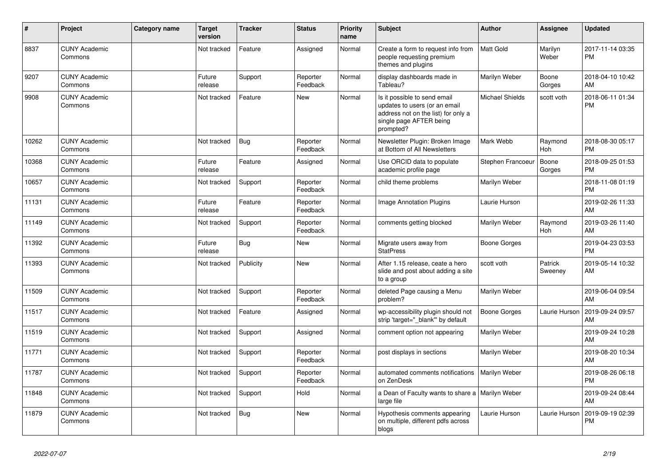| #     | Project                         | <b>Category name</b> | Target<br>version | <b>Tracker</b> | <b>Status</b>        | <b>Priority</b><br>name | <b>Subject</b>                                                                                                                               | Author              | Assignee           | <b>Updated</b>                |
|-------|---------------------------------|----------------------|-------------------|----------------|----------------------|-------------------------|----------------------------------------------------------------------------------------------------------------------------------------------|---------------------|--------------------|-------------------------------|
| 8837  | <b>CUNY Academic</b><br>Commons |                      | Not tracked       | Feature        | Assigned             | Normal                  | Create a form to request info from<br>people requesting premium<br>themes and plugins                                                        | Matt Gold           | Marilyn<br>Weber   | 2017-11-14 03:35<br><b>PM</b> |
| 9207  | <b>CUNY Academic</b><br>Commons |                      | Future<br>release | Support        | Reporter<br>Feedback | Normal                  | display dashboards made in<br>Tableau?                                                                                                       | Marilyn Weber       | Boone<br>Gorges    | 2018-04-10 10:42<br>AM        |
| 9908  | <b>CUNY Academic</b><br>Commons |                      | Not tracked       | Feature        | <b>New</b>           | Normal                  | Is it possible to send email<br>updates to users (or an email<br>address not on the list) for only a<br>single page AFTER being<br>prompted? | Michael Shields     | scott voth         | 2018-06-11 01:34<br><b>PM</b> |
| 10262 | <b>CUNY Academic</b><br>Commons |                      | Not tracked       | Bug            | Reporter<br>Feedback | Normal                  | Newsletter Plugin: Broken Image<br>at Bottom of All Newsletters                                                                              | Mark Webb           | Raymond<br>Hoh     | 2018-08-30 05:17<br><b>PM</b> |
| 10368 | <b>CUNY Academic</b><br>Commons |                      | Future<br>release | Feature        | Assigned             | Normal                  | Use ORCID data to populate<br>academic profile page                                                                                          | Stephen Francoeu    | Boone<br>Gorges    | 2018-09-25 01:53<br><b>PM</b> |
| 10657 | <b>CUNY Academic</b><br>Commons |                      | Not tracked       | Support        | Reporter<br>Feedback | Normal                  | child theme problems                                                                                                                         | Marilyn Weber       |                    | 2018-11-08 01:19<br><b>PM</b> |
| 11131 | <b>CUNY Academic</b><br>Commons |                      | Future<br>release | Feature        | Reporter<br>Feedback | Normal                  | <b>Image Annotation Plugins</b>                                                                                                              | Laurie Hurson       |                    | 2019-02-26 11:33<br>AM        |
| 11149 | <b>CUNY Academic</b><br>Commons |                      | Not tracked       | Support        | Reporter<br>Feedback | Normal                  | comments getting blocked                                                                                                                     | Marilyn Weber       | Raymond<br>Hoh     | 2019-03-26 11:40<br>AM        |
| 11392 | <b>CUNY Academic</b><br>Commons |                      | Future<br>release | Bug            | <b>New</b>           | Normal                  | Migrate users away from<br><b>StatPress</b>                                                                                                  | Boone Gorges        |                    | 2019-04-23 03:53<br><b>PM</b> |
| 11393 | <b>CUNY Academic</b><br>Commons |                      | Not tracked       | Publicity      | New                  | Normal                  | After 1.15 release, ceate a hero<br>slide and post about adding a site<br>to a group                                                         | scott voth          | Patrick<br>Sweeney | 2019-05-14 10:32<br>AM        |
| 11509 | <b>CUNY Academic</b><br>Commons |                      | Not tracked       | Support        | Reporter<br>Feedback | Normal                  | deleted Page causing a Menu<br>problem?                                                                                                      | Marilyn Weber       |                    | 2019-06-04 09:54<br>AM        |
| 11517 | <b>CUNY Academic</b><br>Commons |                      | Not tracked       | Feature        | Assigned             | Normal                  | wp-accessibility plugin should not<br>strip 'target="_blank"' by default                                                                     | <b>Boone Gorges</b> | Laurie Hurson      | 2019-09-24 09:57<br>AM        |
| 11519 | <b>CUNY Academic</b><br>Commons |                      | Not tracked       | Support        | Assigned             | Normal                  | comment option not appearing                                                                                                                 | Marilyn Weber       |                    | 2019-09-24 10:28<br>AM        |
| 11771 | <b>CUNY Academic</b><br>Commons |                      | Not tracked       | Support        | Reporter<br>Feedback | Normal                  | post displays in sections                                                                                                                    | Marilyn Weber       |                    | 2019-08-20 10:34<br>AM        |
| 11787 | <b>CUNY Academic</b><br>Commons |                      | Not tracked       | Support        | Reporter<br>Feedback | Normal                  | automated comments notifications<br>on ZenDesk                                                                                               | Marilyn Weber       |                    | 2019-08-26 06:18<br><b>PM</b> |
| 11848 | <b>CUNY Academic</b><br>Commons |                      | Not tracked       | Support        | Hold                 | Normal                  | a Dean of Faculty wants to share a   Marilyn Weber<br>large file                                                                             |                     |                    | 2019-09-24 08:44<br>AM        |
| 11879 | <b>CUNY Academic</b><br>Commons |                      | Not tracked       | Bug            | <b>New</b>           | Normal                  | Hypothesis comments appearing<br>on multiple, different pdfs across<br>blogs                                                                 | Laurie Hurson       | Laurie Hurson      | 2019-09-19 02:39<br><b>PM</b> |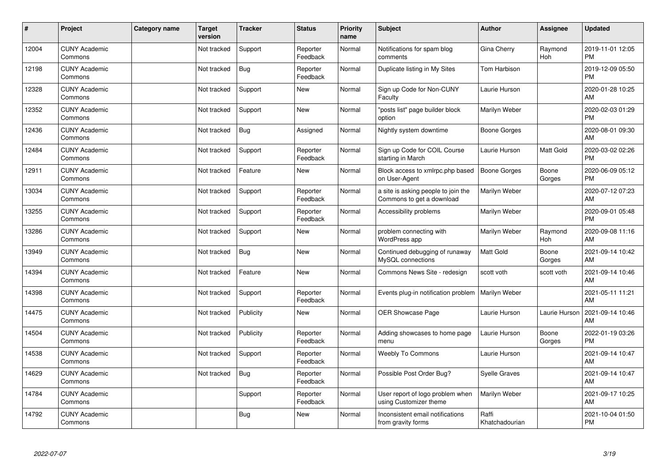| #     | Project                         | <b>Category name</b> | <b>Target</b><br>version | <b>Tracker</b> | <b>Status</b>        | <b>Priority</b><br>name | <b>Subject</b>                                                   | <b>Author</b>           | <b>Assignee</b> | <b>Updated</b>                |
|-------|---------------------------------|----------------------|--------------------------|----------------|----------------------|-------------------------|------------------------------------------------------------------|-------------------------|-----------------|-------------------------------|
| 12004 | <b>CUNY Academic</b><br>Commons |                      | Not tracked              | Support        | Reporter<br>Feedback | Normal                  | Notifications for spam blog<br>comments                          | Gina Cherry             | Raymond<br>Hoh  | 2019-11-01 12:05<br><b>PM</b> |
| 12198 | <b>CUNY Academic</b><br>Commons |                      | Not tracked              | Bug            | Reporter<br>Feedback | Normal                  | Duplicate listing in My Sites                                    | <b>Tom Harbison</b>     |                 | 2019-12-09 05:50<br><b>PM</b> |
| 12328 | <b>CUNY Academic</b><br>Commons |                      | Not tracked              | Support        | <b>New</b>           | Normal                  | Sign up Code for Non-CUNY<br>Faculty                             | Laurie Hurson           |                 | 2020-01-28 10:25<br>AM        |
| 12352 | <b>CUNY Academic</b><br>Commons |                      | Not tracked              | Support        | <b>New</b>           | Normal                  | "posts list" page builder block<br>option                        | Marilyn Weber           |                 | 2020-02-03 01:29<br><b>PM</b> |
| 12436 | <b>CUNY Academic</b><br>Commons |                      | Not tracked              | <b>Bug</b>     | Assigned             | Normal                  | Nightly system downtime                                          | <b>Boone Gorges</b>     |                 | 2020-08-01 09:30<br>AM        |
| 12484 | <b>CUNY Academic</b><br>Commons |                      | Not tracked              | Support        | Reporter<br>Feedback | Normal                  | Sign up Code for COIL Course<br>starting in March                | Laurie Hurson           | Matt Gold       | 2020-03-02 02:26<br><b>PM</b> |
| 12911 | <b>CUNY Academic</b><br>Commons |                      | Not tracked              | Feature        | <b>New</b>           | Normal                  | Block access to xmlrpc.php based<br>on User-Agent                | Boone Gorges            | Boone<br>Gorges | 2020-06-09 05:12<br><b>PM</b> |
| 13034 | <b>CUNY Academic</b><br>Commons |                      | Not tracked              | Support        | Reporter<br>Feedback | Normal                  | a site is asking people to join the<br>Commons to get a download | Marilyn Weber           |                 | 2020-07-12 07:23<br>AM        |
| 13255 | <b>CUNY Academic</b><br>Commons |                      | Not tracked              | Support        | Reporter<br>Feedback | Normal                  | Accessibility problems                                           | Marilyn Weber           |                 | 2020-09-01 05:48<br><b>PM</b> |
| 13286 | <b>CUNY Academic</b><br>Commons |                      | Not tracked              | Support        | New                  | Normal                  | problem connecting with<br><b>WordPress app</b>                  | Marilyn Weber           | Raymond<br>Hoh  | 2020-09-08 11:16<br>AM        |
| 13949 | <b>CUNY Academic</b><br>Commons |                      | Not tracked              | <b>Bug</b>     | <b>New</b>           | Normal                  | Continued debugging of runaway<br>MySQL connections              | Matt Gold               | Boone<br>Gorges | 2021-09-14 10:42<br>AM        |
| 14394 | <b>CUNY Academic</b><br>Commons |                      | Not tracked              | Feature        | <b>New</b>           | Normal                  | Commons News Site - redesign                                     | scott voth              | scott voth      | 2021-09-14 10:46<br>AM        |
| 14398 | <b>CUNY Academic</b><br>Commons |                      | Not tracked              | Support        | Reporter<br>Feedback | Normal                  | Events plug-in notification problem                              | Marilyn Weber           |                 | 2021-05-11 11:21<br>AM        |
| 14475 | <b>CUNY Academic</b><br>Commons |                      | Not tracked              | Publicity      | <b>New</b>           | Normal                  | <b>OER Showcase Page</b>                                         | Laurie Hurson           | Laurie Hurson   | 2021-09-14 10:46<br>AM        |
| 14504 | <b>CUNY Academic</b><br>Commons |                      | Not tracked              | Publicity      | Reporter<br>Feedback | Normal                  | Adding showcases to home page<br>menu                            | Laurie Hurson           | Boone<br>Gorges | 2022-01-19 03:26<br><b>PM</b> |
| 14538 | <b>CUNY Academic</b><br>Commons |                      | Not tracked              | Support        | Reporter<br>Feedback | Normal                  | <b>Weebly To Commons</b>                                         | Laurie Hurson           |                 | 2021-09-14 10:47<br>AM        |
| 14629 | <b>CUNY Academic</b><br>Commons |                      | Not tracked              | Bug            | Reporter<br>Feedback | Normal                  | Possible Post Order Bug?                                         | <b>Syelle Graves</b>    |                 | 2021-09-14 10:47<br>AM        |
| 14784 | <b>CUNY Academic</b><br>Commons |                      |                          | Support        | Reporter<br>Feedback | Normal                  | User report of logo problem when<br>using Customizer theme       | Marilyn Weber           |                 | 2021-09-17 10:25<br>AM        |
| 14792 | <b>CUNY Academic</b><br>Commons |                      |                          | <b>Bug</b>     | New                  | Normal                  | Inconsistent email notifications<br>from gravity forms           | Raffi<br>Khatchadourian |                 | 2021-10-04 01:50<br>PM        |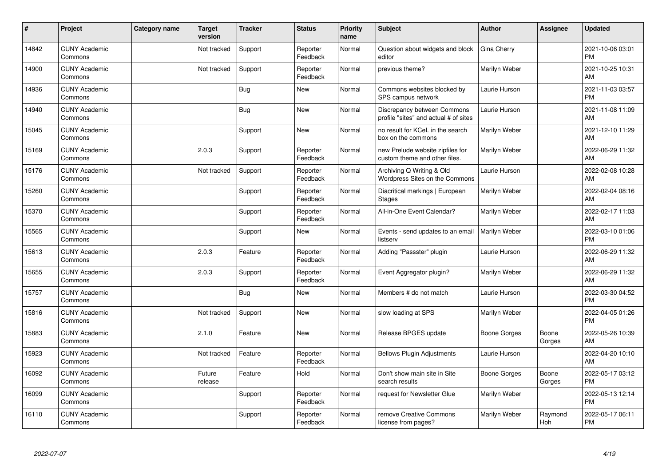| #     | Project                         | Category name | <b>Target</b><br>version | <b>Tracker</b> | <b>Status</b>        | <b>Priority</b><br>name | Subject                                                              | <b>Author</b>       | <b>Assignee</b> | <b>Updated</b>                |
|-------|---------------------------------|---------------|--------------------------|----------------|----------------------|-------------------------|----------------------------------------------------------------------|---------------------|-----------------|-------------------------------|
| 14842 | <b>CUNY Academic</b><br>Commons |               | Not tracked              | Support        | Reporter<br>Feedback | Normal                  | Question about widgets and block<br>editor                           | Gina Cherry         |                 | 2021-10-06 03:01<br><b>PM</b> |
| 14900 | <b>CUNY Academic</b><br>Commons |               | Not tracked              | Support        | Reporter<br>Feedback | Normal                  | previous theme?                                                      | Marilyn Weber       |                 | 2021-10-25 10:31<br>AM        |
| 14936 | <b>CUNY Academic</b><br>Commons |               |                          | <b>Bug</b>     | <b>New</b>           | Normal                  | Commons websites blocked by<br>SPS campus network                    | Laurie Hurson       |                 | 2021-11-03 03:57<br><b>PM</b> |
| 14940 | <b>CUNY Academic</b><br>Commons |               |                          | <b>Bug</b>     | <b>New</b>           | Normal                  | Discrepancy between Commons<br>profile "sites" and actual # of sites | Laurie Hurson       |                 | 2021-11-08 11:09<br>AM        |
| 15045 | <b>CUNY Academic</b><br>Commons |               |                          | Support        | <b>New</b>           | Normal                  | no result for KCeL in the search<br>box on the commons               | Marilyn Weber       |                 | 2021-12-10 11:29<br>AM        |
| 15169 | <b>CUNY Academic</b><br>Commons |               | 2.0.3                    | Support        | Reporter<br>Feedback | Normal                  | new Prelude website zipfiles for<br>custom theme and other files.    | Marilyn Weber       |                 | 2022-06-29 11:32<br>AM        |
| 15176 | <b>CUNY Academic</b><br>Commons |               | Not tracked              | Support        | Reporter<br>Feedback | Normal                  | Archiving Q Writing & Old<br>Wordpress Sites on the Commons          | Laurie Hurson       |                 | 2022-02-08 10:28<br>AM        |
| 15260 | <b>CUNY Academic</b><br>Commons |               |                          | Support        | Reporter<br>Feedback | Normal                  | Diacritical markings   European<br><b>Stages</b>                     | Marilyn Weber       |                 | 2022-02-04 08:16<br>AM        |
| 15370 | <b>CUNY Academic</b><br>Commons |               |                          | Support        | Reporter<br>Feedback | Normal                  | All-in-One Event Calendar?                                           | Marilyn Weber       |                 | 2022-02-17 11:03<br>AM        |
| 15565 | <b>CUNY Academic</b><br>Commons |               |                          | Support        | New                  | Normal                  | Events - send updates to an email<br>listserv                        | Marilyn Weber       |                 | 2022-03-10 01:06<br><b>PM</b> |
| 15613 | <b>CUNY Academic</b><br>Commons |               | 2.0.3                    | Feature        | Reporter<br>Feedback | Normal                  | Adding "Passster" plugin                                             | Laurie Hurson       |                 | 2022-06-29 11:32<br>AM        |
| 15655 | <b>CUNY Academic</b><br>Commons |               | 2.0.3                    | Support        | Reporter<br>Feedback | Normal                  | Event Aggregator plugin?                                             | Marilyn Weber       |                 | 2022-06-29 11:32<br>AM        |
| 15757 | <b>CUNY Academic</b><br>Commons |               |                          | <b>Bug</b>     | New                  | Normal                  | Members # do not match                                               | Laurie Hurson       |                 | 2022-03-30 04:52<br><b>PM</b> |
| 15816 | <b>CUNY Academic</b><br>Commons |               | Not tracked              | Support        | New                  | Normal                  | slow loading at SPS                                                  | Marilyn Weber       |                 | 2022-04-05 01:26<br><b>PM</b> |
| 15883 | <b>CUNY Academic</b><br>Commons |               | 2.1.0                    | Feature        | New                  | Normal                  | Release BPGES update                                                 | Boone Gorges        | Boone<br>Gorges | 2022-05-26 10:39<br>AM        |
| 15923 | <b>CUNY Academic</b><br>Commons |               | Not tracked              | Feature        | Reporter<br>Feedback | Normal                  | <b>Bellows Plugin Adjustments</b>                                    | Laurie Hurson       |                 | 2022-04-20 10:10<br>AM        |
| 16092 | <b>CUNY Academic</b><br>Commons |               | Future<br>release        | Feature        | Hold                 | Normal                  | Don't show main site in Site<br>search results                       | <b>Boone Gorges</b> | Boone<br>Gorges | 2022-05-17 03:12<br><b>PM</b> |
| 16099 | <b>CUNY Academic</b><br>Commons |               |                          | Support        | Reporter<br>Feedback | Normal                  | request for Newsletter Glue                                          | Marilyn Weber       |                 | 2022-05-13 12:14<br><b>PM</b> |
| 16110 | <b>CUNY Academic</b><br>Commons |               |                          | Support        | Reporter<br>Feedback | Normal                  | remove Creative Commons<br>license from pages?                       | Marilyn Weber       | Raymond<br>Hoh  | 2022-05-17 06:11<br><b>PM</b> |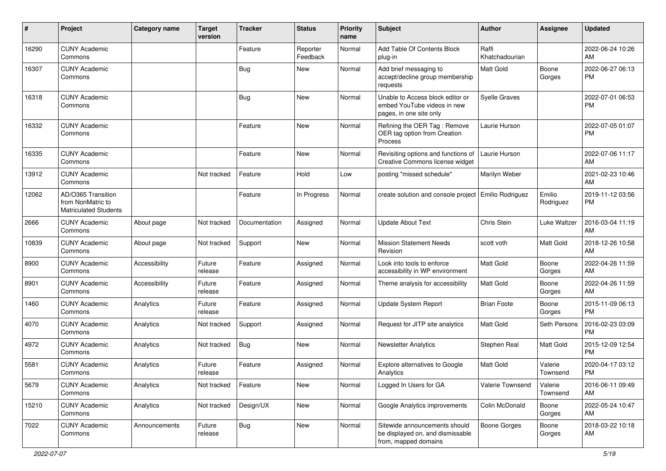| $\#$  | Project                                                                 | <b>Category name</b> | <b>Target</b><br>version | <b>Tracker</b> | <b>Status</b>        | Priority<br>name | <b>Subject</b>                                                                             | Author                  | <b>Assignee</b>     | <b>Updated</b>                |
|-------|-------------------------------------------------------------------------|----------------------|--------------------------|----------------|----------------------|------------------|--------------------------------------------------------------------------------------------|-------------------------|---------------------|-------------------------------|
| 16290 | <b>CUNY Academic</b><br>Commons                                         |                      |                          | Feature        | Reporter<br>Feedback | Normal           | Add Table Of Contents Block<br>plug-in                                                     | Raffi<br>Khatchadourian |                     | 2022-06-24 10:26<br>AM        |
| 16307 | <b>CUNY Academic</b><br>Commons                                         |                      |                          | <b>Bug</b>     | New                  | Normal           | Add brief messaging to<br>accept/decline group membership<br>requests                      | Matt Gold               | Boone<br>Gorges     | 2022-06-27 06:13<br><b>PM</b> |
| 16318 | <b>CUNY Academic</b><br>Commons                                         |                      |                          | <b>Bug</b>     | New                  | Normal           | Unable to Access block editor or<br>embed YouTube videos in new<br>pages, in one site only | Syelle Graves           |                     | 2022-07-01 06:53<br><b>PM</b> |
| 16332 | <b>CUNY Academic</b><br>Commons                                         |                      |                          | Feature        | New                  | Normal           | Refining the OER Tag: Remove<br>OER tag option from Creation<br>Process                    | Laurie Hurson           |                     | 2022-07-05 01:07<br><b>PM</b> |
| 16335 | <b>CUNY Academic</b><br>Commons                                         |                      |                          | Feature        | <b>New</b>           | Normal           | Revisiting options and functions of<br>Creative Commons license widget                     | Laurie Hurson           |                     | 2022-07-06 11:17<br>AM        |
| 13912 | <b>CUNY Academic</b><br>Commons                                         |                      | Not tracked              | Feature        | Hold                 | Low              | posting "missed schedule"                                                                  | Marilyn Weber           |                     | 2021-02-23 10:46<br>AM        |
| 12062 | AD/O365 Transition<br>from NonMatric to<br><b>Matriculated Students</b> |                      |                          | Feature        | In Progress          | Normal           | create solution and console project                                                        | <b>Emilio Rodriguez</b> | Emilio<br>Rodriguez | 2019-11-12 03:56<br><b>PM</b> |
| 2666  | <b>CUNY Academic</b><br>Commons                                         | About page           | Not tracked              | Documentation  | Assigned             | Normal           | Update About Text                                                                          | Chris Stein             | Luke Waltzer        | 2016-03-04 11:19<br>AM        |
| 10839 | <b>CUNY Academic</b><br>Commons                                         | About page           | Not tracked              | Support        | <b>New</b>           | Normal           | <b>Mission Statement Needs</b><br>Revision                                                 | scott voth              | Matt Gold           | 2018-12-26 10:58<br>AM        |
| 8900  | <b>CUNY Academic</b><br>Commons                                         | Accessibility        | Future<br>release        | Feature        | Assigned             | Normal           | Look into tools to enforce<br>accessibility in WP environment                              | <b>Matt Gold</b>        | Boone<br>Gorges     | 2022-04-26 11:59<br>AM        |
| 8901  | <b>CUNY Academic</b><br>Commons                                         | Accessibility        | Future<br>release        | Feature        | Assigned             | Normal           | Theme analysis for accessibility                                                           | <b>Matt Gold</b>        | Boone<br>Gorges     | 2022-04-26 11:59<br>AM        |
| 1460  | <b>CUNY Academic</b><br>Commons                                         | Analytics            | Future<br>release        | Feature        | Assigned             | Normal           | Update System Report                                                                       | <b>Brian Foote</b>      | Boone<br>Gorges     | 2015-11-09 06:13<br><b>PM</b> |
| 4070  | <b>CUNY Academic</b><br>Commons                                         | Analytics            | Not tracked              | Support        | Assigned             | Normal           | Request for JITP site analytics                                                            | <b>Matt Gold</b>        | Seth Persons        | 2016-02-23 03:09<br><b>PM</b> |
| 4972  | <b>CUNY Academic</b><br>Commons                                         | Analytics            | Not tracked              | Bug            | New                  | Normal           | Newsletter Analytics                                                                       | Stephen Real            | Matt Gold           | 2015-12-09 12:54<br><b>PM</b> |
| 5581  | <b>CUNY Academic</b><br>Commons                                         | Analytics            | Future<br>release        | Feature        | Assigned             | Normal           | <b>Explore alternatives to Google</b><br>Analytics                                         | Matt Gold               | Valerie<br>Townsend | 2020-04-17 03:12<br><b>PM</b> |
| 5679  | <b>CUNY Academic</b><br>Commons                                         | Analytics            | Not tracked              | Feature        | New                  | Normal           | Logged In Users for GA                                                                     | Valerie Townsend        | Valerie<br>Townsend | 2016-06-11 09:49<br>AM        |
| 15210 | <b>CUNY Academic</b><br>Commons                                         | Analytics            | Not tracked              | Design/UX      | New                  | Normal           | Google Analytics improvements                                                              | Colin McDonald          | Boone<br>Gorges     | 2022-05-24 10:47<br>AM        |
| 7022  | <b>CUNY Academic</b><br>Commons                                         | Announcements        | Future<br>release        | Bug            | New                  | Normal           | Sitewide announcements should<br>be displayed on, and dismissable<br>from, mapped domains  | <b>Boone Gorges</b>     | Boone<br>Gorges     | 2018-03-22 10:18<br>AM        |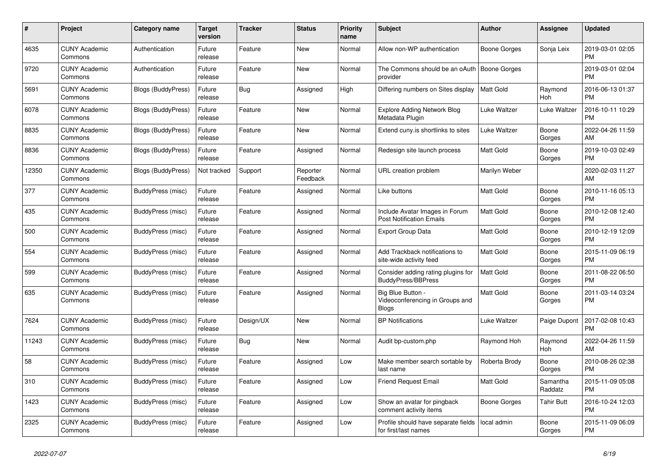| #     | Project                         | <b>Category name</b>      | <b>Target</b><br>version | Tracker    | <b>Status</b>        | <b>Priority</b><br>name | <b>Subject</b>                                                    | <b>Author</b>       | Assignee            | <b>Updated</b>                |
|-------|---------------------------------|---------------------------|--------------------------|------------|----------------------|-------------------------|-------------------------------------------------------------------|---------------------|---------------------|-------------------------------|
| 4635  | <b>CUNY Academic</b><br>Commons | Authentication            | Future<br>release        | Feature    | <b>New</b>           | Normal                  | Allow non-WP authentication                                       | Boone Gorges        | Sonja Leix          | 2019-03-01 02:05<br>PM        |
| 9720  | <b>CUNY Academic</b><br>Commons | Authentication            | Future<br>release        | Feature    | <b>New</b>           | Normal                  | The Commons should be an oAuth<br>provider                        | <b>Boone Gorges</b> |                     | 2019-03-01 02:04<br><b>PM</b> |
| 5691  | <b>CUNY Academic</b><br>Commons | Blogs (BuddyPress)        | Future<br>release        | Bug        | Assigned             | High                    | Differing numbers on Sites display                                | <b>Matt Gold</b>    | Raymond<br>Hoh      | 2016-06-13 01:37<br><b>PM</b> |
| 6078  | <b>CUNY Academic</b><br>Commons | <b>Blogs (BuddyPress)</b> | Future<br>release        | Feature    | <b>New</b>           | Normal                  | <b>Explore Adding Network Blog</b><br>Metadata Plugin             | Luke Waltzer        | Luke Waltzer        | 2016-10-11 10:29<br><b>PM</b> |
| 8835  | <b>CUNY Academic</b><br>Commons | <b>Blogs (BuddyPress)</b> | Future<br>release        | Feature    | New                  | Normal                  | Extend cuny.is shortlinks to sites                                | Luke Waltzer        | Boone<br>Gorges     | 2022-04-26 11:59<br>AM        |
| 8836  | <b>CUNY Academic</b><br>Commons | Blogs (BuddyPress)        | Future<br>release        | Feature    | Assigned             | Normal                  | Redesign site launch process                                      | <b>Matt Gold</b>    | Boone<br>Gorges     | 2019-10-03 02:49<br><b>PM</b> |
| 12350 | <b>CUNY Academic</b><br>Commons | <b>Blogs (BuddyPress)</b> | Not tracked              | Support    | Reporter<br>Feedback | Normal                  | URL creation problem                                              | Marilyn Weber       |                     | 2020-02-03 11:27<br>AM        |
| 377   | <b>CUNY Academic</b><br>Commons | BuddyPress (misc)         | Future<br>release        | Feature    | Assigned             | Normal                  | Like buttons                                                      | <b>Matt Gold</b>    | Boone<br>Gorges     | 2010-11-16 05:13<br><b>PM</b> |
| 435   | <b>CUNY Academic</b><br>Commons | BuddyPress (misc)         | Future<br>release        | Feature    | Assigned             | Normal                  | Include Avatar Images in Forum<br><b>Post Notification Emails</b> | <b>Matt Gold</b>    | Boone<br>Gorges     | 2010-12-08 12:40<br><b>PM</b> |
| 500   | <b>CUNY Academic</b><br>Commons | BuddyPress (misc)         | Future<br>release        | Feature    | Assigned             | Normal                  | Export Group Data                                                 | Matt Gold           | Boone<br>Gorges     | 2010-12-19 12:09<br>PM        |
| 554   | <b>CUNY Academic</b><br>Commons | <b>BuddyPress</b> (misc)  | Future<br>release        | Feature    | Assigned             | Normal                  | Add Trackback notifications to<br>site-wide activity feed         | Matt Gold           | Boone<br>Gorges     | 2015-11-09 06:19<br><b>PM</b> |
| 599   | <b>CUNY Academic</b><br>Commons | <b>BuddyPress</b> (misc)  | Future<br>release        | Feature    | Assigned             | Normal                  | Consider adding rating plugins for<br><b>BuddyPress/BBPress</b>   | <b>Matt Gold</b>    | Boone<br>Gorges     | 2011-08-22 06:50<br><b>PM</b> |
| 635   | <b>CUNY Academic</b><br>Commons | BuddyPress (misc)         | Future<br>release        | Feature    | Assigned             | Normal                  | Big Blue Button -<br>Videoconferencing in Groups and<br>Blogs     | Matt Gold           | Boone<br>Gorges     | 2011-03-14 03:24<br><b>PM</b> |
| 7624  | <b>CUNY Academic</b><br>Commons | BuddyPress (misc)         | Future<br>release        | Design/UX  | New                  | Normal                  | <b>BP</b> Notifications                                           | Luke Waltzer        | Paige Dupont        | 2017-02-08 10:43<br><b>PM</b> |
| 11243 | <b>CUNY Academic</b><br>Commons | BuddyPress (misc)         | Future<br>release        | <b>Bug</b> | <b>New</b>           | Normal                  | Audit bp-custom.php                                               | Raymond Hoh         | Raymond<br>Hoh      | 2022-04-26 11:59<br>AM        |
| 58    | <b>CUNY Academic</b><br>Commons | BuddyPress (misc)         | Future<br>release        | Feature    | Assigned             | Low                     | Make member search sortable by<br>last name                       | Roberta Brody       | Boone<br>Gorges     | 2010-08-26 02:38<br>PM        |
| 310   | <b>CUNY Academic</b><br>Commons | <b>BuddyPress</b> (misc)  | Future<br>release        | Feature    | Assigned             | Low                     | <b>Friend Request Email</b>                                       | Matt Gold           | Samantha<br>Raddatz | 2015-11-09 05:08<br><b>PM</b> |
| 1423  | <b>CUNY Academic</b><br>Commons | BuddyPress (misc)         | Future<br>release        | Feature    | Assigned             | Low                     | Show an avatar for pingback<br>comment activity items             | Boone Gorges        | <b>Tahir Butt</b>   | 2016-10-24 12:03<br>PM        |
| 2325  | <b>CUNY Academic</b><br>Commons | BuddyPress (misc)         | Future<br>release        | Feature    | Assigned             | Low                     | Profile should have separate fields<br>for first/last names       | local admin         | Boone<br>Gorges     | 2015-11-09 06:09<br><b>PM</b> |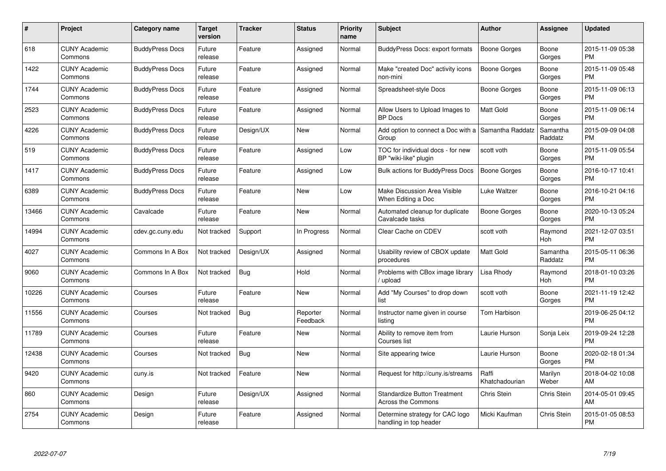| #     | <b>Project</b>                  | <b>Category name</b>   | <b>Target</b><br>version | <b>Tracker</b> | <b>Status</b>        | <b>Priority</b><br>name | <b>Subject</b>                                             | <b>Author</b>           | Assignee            | <b>Updated</b>                |
|-------|---------------------------------|------------------------|--------------------------|----------------|----------------------|-------------------------|------------------------------------------------------------|-------------------------|---------------------|-------------------------------|
| 618   | <b>CUNY Academic</b><br>Commons | <b>BuddyPress Docs</b> | Future<br>release        | Feature        | Assigned             | Normal                  | <b>BuddyPress Docs: export formats</b>                     | Boone Gorges            | Boone<br>Gorges     | 2015-11-09 05:38<br><b>PM</b> |
| 1422  | <b>CUNY Academic</b><br>Commons | <b>BuddyPress Docs</b> | Future<br>release        | Feature        | Assigned             | Normal                  | Make "created Doc" activity icons<br>non-mini              | <b>Boone Gorges</b>     | Boone<br>Gorges     | 2015-11-09 05:48<br><b>PM</b> |
| 1744  | <b>CUNY Academic</b><br>Commons | <b>BuddyPress Docs</b> | Future<br>release        | Feature        | Assigned             | Normal                  | Spreadsheet-style Docs                                     | Boone Gorges            | Boone<br>Gorges     | 2015-11-09 06:13<br><b>PM</b> |
| 2523  | <b>CUNY Academic</b><br>Commons | <b>BuddyPress Docs</b> | Future<br>release        | Feature        | Assigned             | Normal                  | Allow Users to Upload Images to<br><b>BP</b> Docs          | Matt Gold               | Boone<br>Gorges     | 2015-11-09 06:14<br><b>PM</b> |
| 4226  | <b>CUNY Academic</b><br>Commons | <b>BuddyPress Docs</b> | Future<br>release        | Design/UX      | <b>New</b>           | Normal                  | Add option to connect a Doc with a<br>Group                | Samantha Raddatz        | Samantha<br>Raddatz | 2015-09-09 04:08<br><b>PM</b> |
| 519   | <b>CUNY Academic</b><br>Commons | <b>BuddyPress Docs</b> | Future<br>release        | Feature        | Assigned             | Low                     | TOC for individual docs - for new<br>BP "wiki-like" plugin | scott voth              | Boone<br>Gorges     | 2015-11-09 05:54<br><b>PM</b> |
| 1417  | <b>CUNY Academic</b><br>Commons | <b>BuddyPress Docs</b> | Future<br>release        | Feature        | Assigned             | Low                     | <b>Bulk actions for BuddyPress Docs</b>                    | Boone Gorges            | Boone<br>Gorges     | 2016-10-17 10:41<br><b>PM</b> |
| 6389  | <b>CUNY Academic</b><br>Commons | <b>BuddyPress Docs</b> | Future<br>release        | Feature        | New                  | Low                     | Make Discussion Area Visible<br>When Editing a Doc         | Luke Waltzer            | Boone<br>Gorges     | 2016-10-21 04:16<br><b>PM</b> |
| 13466 | <b>CUNY Academic</b><br>Commons | Cavalcade              | Future<br>release        | Feature        | New                  | Normal                  | Automated cleanup for duplicate<br>Cavalcade tasks         | Boone Gorges            | Boone<br>Gorges     | 2020-10-13 05:24<br><b>PM</b> |
| 14994 | <b>CUNY Academic</b><br>Commons | cdev.gc.cuny.edu       | Not tracked              | Support        | In Progress          | Normal                  | Clear Cache on CDEV                                        | scott voth              | Raymond<br>Hoh      | 2021-12-07 03:51<br><b>PM</b> |
| 4027  | <b>CUNY Academic</b><br>Commons | Commons In A Box       | Not tracked              | Design/UX      | Assigned             | Normal                  | Usability review of CBOX update<br>procedures              | Matt Gold               | Samantha<br>Raddatz | 2015-05-11 06:36<br><b>PM</b> |
| 9060  | <b>CUNY Academic</b><br>Commons | Commons In A Box       | Not tracked              | <b>Bug</b>     | Hold                 | Normal                  | Problems with CBox image library<br>upload                 | Lisa Rhody              | Raymond<br>Hoh      | 2018-01-10 03:26<br><b>PM</b> |
| 10226 | <b>CUNY Academic</b><br>Commons | Courses                | Future<br>release        | Feature        | New                  | Normal                  | Add "My Courses" to drop down<br>list                      | scott voth              | Boone<br>Gorges     | 2021-11-19 12:42<br><b>PM</b> |
| 11556 | <b>CUNY Academic</b><br>Commons | Courses                | Not tracked              | Bug            | Reporter<br>Feedback | Normal                  | Instructor name given in course<br>listing                 | Tom Harbison            |                     | 2019-06-25 04:12<br><b>PM</b> |
| 11789 | <b>CUNY Academic</b><br>Commons | Courses                | Future<br>release        | Feature        | New                  | Normal                  | Ability to remove item from<br>Courses list                | Laurie Hurson           | Sonja Leix          | 2019-09-24 12:28<br><b>PM</b> |
| 12438 | <b>CUNY Academic</b><br>Commons | Courses                | Not tracked              | Bug            | <b>New</b>           | Normal                  | Site appearing twice                                       | Laurie Hurson           | Boone<br>Gorges     | 2020-02-18 01:34<br><b>PM</b> |
| 9420  | <b>CUNY Academic</b><br>Commons | cuny.is                | Not tracked              | Feature        | New                  | Normal                  | Request for http://cuny.is/streams                         | Raffi<br>Khatchadourian | Marilyn<br>Weber    | 2018-04-02 10:08<br>AM        |
| 860   | <b>CUNY Academic</b><br>Commons | Design                 | Future<br>release        | Design/UX      | Assigned             | Normal                  | <b>Standardize Button Treatment</b><br>Across the Commons  | Chris Stein             | Chris Stein         | 2014-05-01 09:45<br>AM        |
| 2754  | <b>CUNY Academic</b><br>Commons | Design                 | Future<br>release        | Feature        | Assigned             | Normal                  | Determine strategy for CAC logo<br>handling in top header  | Micki Kaufman           | Chris Stein         | 2015-01-05 08:53<br><b>PM</b> |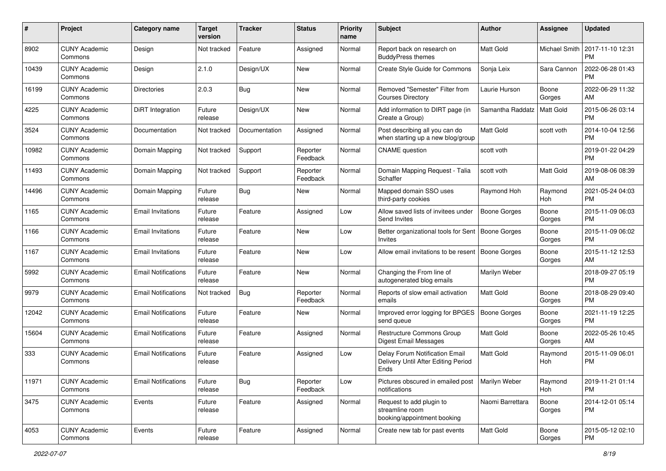| #     | Project                         | <b>Category name</b>       | <b>Target</b><br>version | <b>Tracker</b> | <b>Status</b>        | <b>Priority</b><br>name | <b>Subject</b>                                                                | Author              | <b>Assignee</b> | <b>Updated</b>                |
|-------|---------------------------------|----------------------------|--------------------------|----------------|----------------------|-------------------------|-------------------------------------------------------------------------------|---------------------|-----------------|-------------------------------|
| 8902  | <b>CUNY Academic</b><br>Commons | Design                     | Not tracked              | Feature        | Assigned             | Normal                  | Report back on research on<br><b>BuddyPress themes</b>                        | <b>Matt Gold</b>    | Michael Smith   | 2017-11-10 12:31<br><b>PM</b> |
| 10439 | <b>CUNY Academic</b><br>Commons | Design                     | 2.1.0                    | Design/UX      | <b>New</b>           | Normal                  | Create Style Guide for Commons                                                | Sonja Leix          | Sara Cannon     | 2022-06-28 01:43<br><b>PM</b> |
| 16199 | <b>CUNY Academic</b><br>Commons | <b>Directories</b>         | 2.0.3                    | <b>Bug</b>     | <b>New</b>           | Normal                  | Removed "Semester" Filter from<br><b>Courses Directory</b>                    | Laurie Hurson       | Boone<br>Gorges | 2022-06-29 11:32<br>AM        |
| 4225  | <b>CUNY Academic</b><br>Commons | <b>DiRT</b> Integration    | Future<br>release        | Design/UX      | New                  | Normal                  | Add information to DIRT page (in<br>Create a Group)                           | Samantha Raddatz    | Matt Gold       | 2015-06-26 03:14<br><b>PM</b> |
| 3524  | <b>CUNY Academic</b><br>Commons | Documentation              | Not tracked              | Documentation  | Assigned             | Normal                  | Post describing all you can do<br>when starting up a new blog/group           | <b>Matt Gold</b>    | scott voth      | 2014-10-04 12:56<br><b>PM</b> |
| 10982 | <b>CUNY Academic</b><br>Commons | Domain Mapping             | Not tracked              | Support        | Reporter<br>Feedback | Normal                  | <b>CNAME</b> question                                                         | scott voth          |                 | 2019-01-22 04:29<br><b>PM</b> |
| 11493 | <b>CUNY Academic</b><br>Commons | Domain Mapping             | Not tracked              | Support        | Reporter<br>Feedback | Normal                  | Domain Mapping Request - Talia<br>Schaffer                                    | scott voth          | Matt Gold       | 2019-08-06 08:39<br>AM        |
| 14496 | <b>CUNY Academic</b><br>Commons | Domain Mapping             | Future<br>release        | Bug            | New                  | Normal                  | Mapped domain SSO uses<br>third-party cookies                                 | Raymond Hoh         | Raymond<br>Hoh  | 2021-05-24 04:03<br><b>PM</b> |
| 1165  | <b>CUNY Academic</b><br>Commons | <b>Email Invitations</b>   | Future<br>release        | Feature        | Assigned             | Low                     | Allow saved lists of invitees under<br>Send Invites                           | <b>Boone Gorges</b> | Boone<br>Gorges | 2015-11-09 06:03<br><b>PM</b> |
| 1166  | <b>CUNY Academic</b><br>Commons | <b>Email Invitations</b>   | Future<br>release        | Feature        | <b>New</b>           | Low                     | Better organizational tools for Sent<br>Invites                               | <b>Boone Gorges</b> | Boone<br>Gorges | 2015-11-09 06:02<br><b>PM</b> |
| 1167  | <b>CUNY Academic</b><br>Commons | <b>Email Invitations</b>   | Future<br>release        | Feature        | <b>New</b>           | Low                     | Allow email invitations to be resent                                          | Boone Gorges        | Boone<br>Gorges | 2015-11-12 12:53<br>AM        |
| 5992  | <b>CUNY Academic</b><br>Commons | <b>Email Notifications</b> | Future<br>release        | Feature        | New                  | Normal                  | Changing the From line of<br>autogenerated blog emails                        | Marilyn Weber       |                 | 2018-09-27 05:19<br><b>PM</b> |
| 9979  | <b>CUNY Academic</b><br>Commons | <b>Email Notifications</b> | Not tracked              | <b>Bug</b>     | Reporter<br>Feedback | Normal                  | Reports of slow email activation<br>emails                                    | <b>Matt Gold</b>    | Boone<br>Gorges | 2018-08-29 09:40<br><b>PM</b> |
| 12042 | <b>CUNY Academic</b><br>Commons | <b>Email Notifications</b> | Future<br>release        | Feature        | New                  | Normal                  | Improved error logging for BPGES<br>send queue                                | Boone Gorges        | Boone<br>Gorges | 2021-11-19 12:25<br><b>PM</b> |
| 15604 | <b>CUNY Academic</b><br>Commons | <b>Email Notifications</b> | Future<br>release        | Feature        | Assigned             | Normal                  | Restructure Commons Group<br>Digest Email Messages                            | <b>Matt Gold</b>    | Boone<br>Gorges | 2022-05-26 10:45<br>AM        |
| 333   | <b>CUNY Academic</b><br>Commons | <b>Email Notifications</b> | Future<br>release        | Feature        | Assigned             | Low                     | Delay Forum Notification Email<br>Delivery Until After Editing Period<br>Ends | Matt Gold           | Raymond<br>Hoh  | 2015-11-09 06:01<br><b>PM</b> |
| 11971 | <b>CUNY Academic</b><br>Commons | <b>Email Notifications</b> | Future<br>release        | <b>Bug</b>     | Reporter<br>Feedback | Low                     | Pictures obscured in emailed post   Marilyn Weber<br>notifications            |                     | Raymond<br>Hoh  | 2019-11-21 01:14<br>PM        |
| 3475  | <b>CUNY Academic</b><br>Commons | Events                     | Future<br>release        | Feature        | Assigned             | Normal                  | Request to add plugin to<br>streamline room<br>booking/appointment booking    | Naomi Barrettara    | Boone<br>Gorges | 2014-12-01 05:14<br><b>PM</b> |
| 4053  | <b>CUNY Academic</b><br>Commons | Events                     | Future<br>release        | Feature        | Assigned             | Normal                  | Create new tab for past events                                                | Matt Gold           | Boone<br>Gorges | 2015-05-12 02:10<br><b>PM</b> |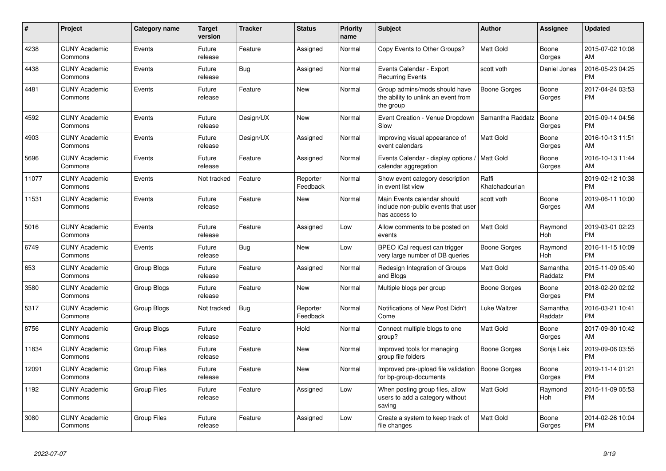| #     | Project                         | <b>Category name</b> | <b>Target</b><br>version | <b>Tracker</b> | <b>Status</b>        | <b>Priority</b><br>name | <b>Subject</b>                                                                      | <b>Author</b>           | Assignee            | <b>Updated</b>                |
|-------|---------------------------------|----------------------|--------------------------|----------------|----------------------|-------------------------|-------------------------------------------------------------------------------------|-------------------------|---------------------|-------------------------------|
| 4238  | <b>CUNY Academic</b><br>Commons | Events               | Future<br>release        | Feature        | Assigned             | Normal                  | Copy Events to Other Groups?                                                        | <b>Matt Gold</b>        | Boone<br>Gorges     | 2015-07-02 10:08<br>AM        |
| 4438  | <b>CUNY Academic</b><br>Commons | Events               | Future<br>release        | Bug            | Assigned             | Normal                  | Events Calendar - Export<br><b>Recurring Events</b>                                 | scott voth              | Daniel Jones        | 2016-05-23 04:25<br><b>PM</b> |
| 4481  | <b>CUNY Academic</b><br>Commons | Events               | Future<br>release        | Feature        | <b>New</b>           | Normal                  | Group admins/mods should have<br>the ability to unlink an event from<br>the group   | Boone Gorges            | Boone<br>Gorges     | 2017-04-24 03:53<br><b>PM</b> |
| 4592  | <b>CUNY Academic</b><br>Commons | Events               | Future<br>release        | Design/UX      | New                  | Normal                  | Event Creation - Venue Dropdown<br>Slow                                             | Samantha Raddatz        | Boone<br>Gorges     | 2015-09-14 04:56<br><b>PM</b> |
| 4903  | <b>CUNY Academic</b><br>Commons | Events               | Future<br>release        | Design/UX      | Assigned             | Normal                  | Improving visual appearance of<br>event calendars                                   | <b>Matt Gold</b>        | Boone<br>Gorges     | 2016-10-13 11:51<br>AM        |
| 5696  | <b>CUNY Academic</b><br>Commons | Events               | Future<br>release        | Feature        | Assigned             | Normal                  | Events Calendar - display options /<br>calendar aggregation                         | Matt Gold               | Boone<br>Gorges     | 2016-10-13 11:44<br>AM        |
| 11077 | <b>CUNY Academic</b><br>Commons | Events               | Not tracked              | Feature        | Reporter<br>Feedback | Normal                  | Show event category description<br>in event list view                               | Raffi<br>Khatchadourian |                     | 2019-02-12 10:38<br><b>PM</b> |
| 11531 | <b>CUNY Academic</b><br>Commons | Events               | Future<br>release        | Feature        | New                  | Normal                  | Main Events calendar should<br>include non-public events that user<br>has access to | scott voth              | Boone<br>Gorges     | 2019-06-11 10:00<br>AM        |
| 5016  | <b>CUNY Academic</b><br>Commons | Events               | Future<br>release        | Feature        | Assigned             | Low                     | Allow comments to be posted on<br>events                                            | <b>Matt Gold</b>        | Raymond<br>Hoh      | 2019-03-01 02:23<br><b>PM</b> |
| 6749  | <b>CUNY Academic</b><br>Commons | Events               | Future<br>release        | <b>Bug</b>     | New                  | Low                     | BPEO iCal request can trigger<br>very large number of DB queries                    | Boone Gorges            | Raymond<br>Hoh      | 2016-11-15 10:09<br><b>PM</b> |
| 653   | <b>CUNY Academic</b><br>Commons | Group Blogs          | Future<br>release        | Feature        | Assigned             | Normal                  | Redesign Integration of Groups<br>and Blogs                                         | <b>Matt Gold</b>        | Samantha<br>Raddatz | 2015-11-09 05:40<br><b>PM</b> |
| 3580  | <b>CUNY Academic</b><br>Commons | <b>Group Blogs</b>   | Future<br>release        | Feature        | New                  | Normal                  | Multiple blogs per group                                                            | Boone Gorges            | Boone<br>Gorges     | 2018-02-20 02:02<br><b>PM</b> |
| 5317  | <b>CUNY Academic</b><br>Commons | Group Blogs          | Not tracked              | <b>Bug</b>     | Reporter<br>Feedback | Normal                  | Notifications of New Post Didn't<br>Come                                            | Luke Waltzer            | Samantha<br>Raddatz | 2016-03-21 10:41<br><b>PM</b> |
| 8756  | <b>CUNY Academic</b><br>Commons | Group Blogs          | Future<br>release        | Feature        | Hold                 | Normal                  | Connect multiple blogs to one<br>group?                                             | <b>Matt Gold</b>        | Boone<br>Gorges     | 2017-09-30 10:42<br>AM        |
| 11834 | <b>CUNY Academic</b><br>Commons | Group Files          | Future<br>release        | Feature        | <b>New</b>           | Normal                  | Improved tools for managing<br>group file folders                                   | Boone Gorges            | Sonja Leix          | 2019-09-06 03:55<br><b>PM</b> |
| 12091 | <b>CUNY Academic</b><br>Commons | <b>Group Files</b>   | Future<br>release        | Feature        | <b>New</b>           | Normal                  | Improved pre-upload file validation<br>for bp-group-documents                       | Boone Gorges            | Boone<br>Gorges     | 2019-11-14 01:21<br><b>PM</b> |
| 1192  | <b>CUNY Academic</b><br>Commons | <b>Group Files</b>   | Future<br>release        | Feature        | Assigned             | Low                     | When posting group files, allow<br>users to add a category without<br>saving        | <b>Matt Gold</b>        | Raymond<br>Hoh      | 2015-11-09 05:53<br><b>PM</b> |
| 3080  | <b>CUNY Academic</b><br>Commons | Group Files          | Future<br>release        | Feature        | Assigned             | Low                     | Create a system to keep track of<br>file changes                                    | <b>Matt Gold</b>        | Boone<br>Gorges     | 2014-02-26 10:04<br><b>PM</b> |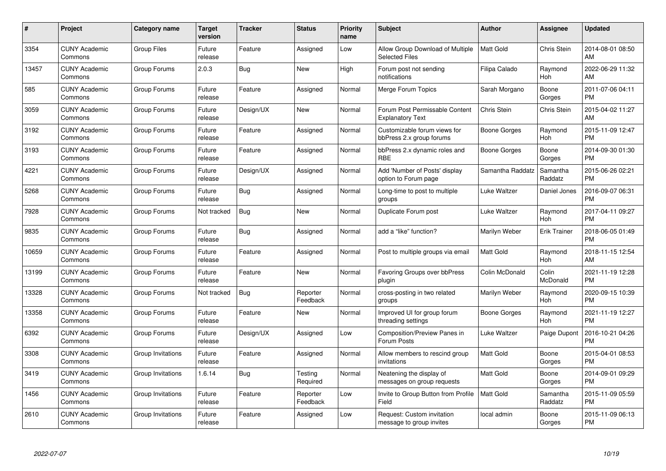| $\#$  | Project                         | <b>Category name</b> | <b>Target</b><br>version | <b>Tracker</b> | <b>Status</b>        | <b>Priority</b><br>name | <b>Subject</b>                                            | <b>Author</b>       | <b>Assignee</b>     | <b>Updated</b>                |
|-------|---------------------------------|----------------------|--------------------------|----------------|----------------------|-------------------------|-----------------------------------------------------------|---------------------|---------------------|-------------------------------|
| 3354  | <b>CUNY Academic</b><br>Commons | <b>Group Files</b>   | Future<br>release        | Feature        | Assigned             | Low                     | Allow Group Download of Multiple<br><b>Selected Files</b> | <b>Matt Gold</b>    | <b>Chris Stein</b>  | 2014-08-01 08:50<br>AM        |
| 13457 | <b>CUNY Academic</b><br>Commons | Group Forums         | 2.0.3                    | Bug            | <b>New</b>           | High                    | Forum post not sending<br>notifications                   | Filipa Calado       | Raymond<br>Hoh      | 2022-06-29 11:32<br>AM        |
| 585   | <b>CUNY Academic</b><br>Commons | Group Forums         | Future<br>release        | Feature        | Assigned             | Normal                  | Merge Forum Topics                                        | Sarah Morgano       | Boone<br>Gorges     | 2011-07-06 04:11<br><b>PM</b> |
| 3059  | <b>CUNY Academic</b><br>Commons | Group Forums         | Future<br>release        | Design/UX      | <b>New</b>           | Normal                  | Forum Post Permissable Content<br><b>Explanatory Text</b> | Chris Stein         | <b>Chris Stein</b>  | 2015-04-02 11:27<br>AM        |
| 3192  | <b>CUNY Academic</b><br>Commons | Group Forums         | Future<br>release        | Feature        | Assigned             | Normal                  | Customizable forum views for<br>bbPress 2.x group forums  | Boone Gorges        | Raymond<br>Hoh      | 2015-11-09 12:47<br><b>PM</b> |
| 3193  | <b>CUNY Academic</b><br>Commons | Group Forums         | Future<br>release        | Feature        | Assigned             | Normal                  | bbPress 2.x dynamic roles and<br><b>RBE</b>               | Boone Gorges        | Boone<br>Gorges     | 2014-09-30 01:30<br><b>PM</b> |
| 4221  | <b>CUNY Academic</b><br>Commons | Group Forums         | Future<br>release        | Design/UX      | Assigned             | Normal                  | Add 'Number of Posts' display<br>option to Forum page     | Samantha Raddatz    | Samantha<br>Raddatz | 2015-06-26 02:21<br><b>PM</b> |
| 5268  | <b>CUNY Academic</b><br>Commons | Group Forums         | Future<br>release        | Bug            | Assigned             | Normal                  | Long-time to post to multiple<br>groups                   | Luke Waltzer        | Daniel Jones        | 2016-09-07 06:31<br><b>PM</b> |
| 7928  | <b>CUNY Academic</b><br>Commons | Group Forums         | Not tracked              | <b>Bug</b>     | New                  | Normal                  | Duplicate Forum post                                      | Luke Waltzer        | Raymond<br>Hoh      | 2017-04-11 09:27<br><b>PM</b> |
| 9835  | <b>CUNY Academic</b><br>Commons | Group Forums         | Future<br>release        | Bug            | Assigned             | Normal                  | add a "like" function?                                    | Marilyn Weber       | Erik Trainer        | 2018-06-05 01:49<br><b>PM</b> |
| 10659 | <b>CUNY Academic</b><br>Commons | Group Forums         | Future<br>release        | Feature        | Assigned             | Normal                  | Post to multiple groups via email                         | <b>Matt Gold</b>    | Raymond<br>Hoh      | 2018-11-15 12:54<br>AM        |
| 13199 | <b>CUNY Academic</b><br>Commons | Group Forums         | Future<br>release        | Feature        | New                  | Normal                  | Favoring Groups over bbPress<br>plugin                    | Colin McDonald      | Colin<br>McDonald   | 2021-11-19 12:28<br><b>PM</b> |
| 13328 | <b>CUNY Academic</b><br>Commons | Group Forums         | Not tracked              | <b>Bug</b>     | Reporter<br>Feedback | Normal                  | cross-posting in two related<br>groups                    | Marilyn Weber       | Raymond<br>Hoh      | 2020-09-15 10:39<br><b>PM</b> |
| 13358 | <b>CUNY Academic</b><br>Commons | Group Forums         | Future<br>release        | Feature        | New                  | Normal                  | Improved UI for group forum<br>threading settings         | <b>Boone Gorges</b> | Raymond<br>Hoh      | 2021-11-19 12:27<br><b>PM</b> |
| 6392  | <b>CUNY Academic</b><br>Commons | Group Forums         | Future<br>release        | Design/UX      | Assigned             | Low                     | Composition/Preview Panes in<br>Forum Posts               | Luke Waltzer        | Paige Dupont        | 2016-10-21 04:26<br><b>PM</b> |
| 3308  | <b>CUNY Academic</b><br>Commons | Group Invitations    | Future<br>release        | Feature        | Assigned             | Normal                  | Allow members to rescind group<br>invitations             | <b>Matt Gold</b>    | Boone<br>Gorges     | 2015-04-01 08:53<br><b>PM</b> |
| 3419  | <b>CUNY Academic</b><br>Commons | Group Invitations    | 1.6.14                   | Bug            | Testing<br>Required  | Normal                  | Neatening the display of<br>messages on group requests    | <b>Matt Gold</b>    | Boone<br>Gorges     | 2014-09-01 09:29<br><b>PM</b> |
| 1456  | <b>CUNY Academic</b><br>Commons | Group Invitations    | Future<br>release        | Feature        | Reporter<br>Feedback | Low                     | Invite to Group Button from Profile<br>Field              | <b>Matt Gold</b>    | Samantha<br>Raddatz | 2015-11-09 05:59<br><b>PM</b> |
| 2610  | <b>CUNY Academic</b><br>Commons | Group Invitations    | Future<br>release        | Feature        | Assigned             | Low                     | Request: Custom invitation<br>message to group invites    | local admin         | Boone<br>Gorges     | 2015-11-09 06:13<br><b>PM</b> |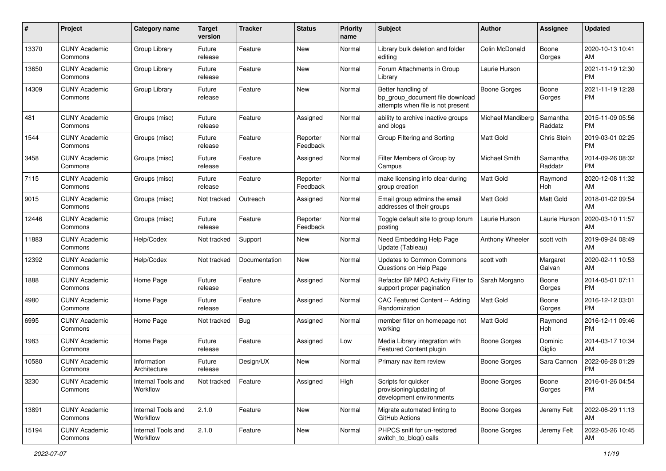| #     | Project                         | <b>Category name</b>           | <b>Target</b><br>version | <b>Tracker</b> | <b>Status</b>        | <b>Priority</b><br>name | <b>Subject</b>                                                                             | Author              | <b>Assignee</b>     | <b>Updated</b>                |
|-------|---------------------------------|--------------------------------|--------------------------|----------------|----------------------|-------------------------|--------------------------------------------------------------------------------------------|---------------------|---------------------|-------------------------------|
| 13370 | <b>CUNY Academic</b><br>Commons | Group Library                  | Future<br>release        | Feature        | <b>New</b>           | Normal                  | Library bulk deletion and folder<br>editing                                                | Colin McDonald      | Boone<br>Gorges     | 2020-10-13 10:41<br>AM        |
| 13650 | <b>CUNY Academic</b><br>Commons | Group Library                  | Future<br>release        | Feature        | New                  | Normal                  | Forum Attachments in Group<br>Library                                                      | Laurie Hurson       |                     | 2021-11-19 12:30<br><b>PM</b> |
| 14309 | <b>CUNY Academic</b><br>Commons | Group Library                  | Future<br>release        | Feature        | New                  | Normal                  | Better handling of<br>bp_group_document file download<br>attempts when file is not present | <b>Boone Gorges</b> | Boone<br>Gorges     | 2021-11-19 12:28<br><b>PM</b> |
| 481   | <b>CUNY Academic</b><br>Commons | Groups (misc)                  | Future<br>release        | Feature        | Assigned             | Normal                  | ability to archive inactive groups<br>and blogs                                            | Michael Mandiberg   | Samantha<br>Raddatz | 2015-11-09 05:56<br><b>PM</b> |
| 1544  | <b>CUNY Academic</b><br>Commons | Groups (misc)                  | Future<br>release        | Feature        | Reporter<br>Feedback | Normal                  | Group Filtering and Sorting                                                                | <b>Matt Gold</b>    | <b>Chris Stein</b>  | 2019-03-01 02:25<br><b>PM</b> |
| 3458  | <b>CUNY Academic</b><br>Commons | Groups (misc)                  | Future<br>release        | Feature        | Assigned             | Normal                  | Filter Members of Group by<br>Campus                                                       | Michael Smith       | Samantha<br>Raddatz | 2014-09-26 08:32<br><b>PM</b> |
| 7115  | <b>CUNY Academic</b><br>Commons | Groups (misc)                  | Future<br>release        | Feature        | Reporter<br>Feedback | Normal                  | make licensing info clear during<br>group creation                                         | <b>Matt Gold</b>    | Raymond<br>Hoh      | 2020-12-08 11:32<br>AM        |
| 9015  | <b>CUNY Academic</b><br>Commons | Groups (misc)                  | Not tracked              | Outreach       | Assigned             | Normal                  | Email group admins the email<br>addresses of their groups                                  | <b>Matt Gold</b>    | Matt Gold           | 2018-01-02 09:54<br>AM        |
| 12446 | <b>CUNY Academic</b><br>Commons | Groups (misc)                  | Future<br>release        | Feature        | Reporter<br>Feedback | Normal                  | Toggle default site to group forum<br>posting                                              | Laurie Hurson       | Laurie Hurson       | 2020-03-10 11:57<br>AM        |
| 11883 | <b>CUNY Academic</b><br>Commons | Help/Codex                     | Not tracked              | Support        | New                  | Normal                  | Need Embedding Help Page<br>Update (Tableau)                                               | Anthony Wheeler     | scott voth          | 2019-09-24 08:49<br>AM        |
| 12392 | <b>CUNY Academic</b><br>Commons | Help/Codex                     | Not tracked              | Documentation  | New                  | Normal                  | Updates to Common Commons<br>Questions on Help Page                                        | scott voth          | Margaret<br>Galvan  | 2020-02-11 10:53<br>AM        |
| 1888  | <b>CUNY Academic</b><br>Commons | Home Page                      | Future<br>release        | Feature        | Assigned             | Normal                  | Refactor BP MPO Activity Filter to<br>support proper pagination                            | Sarah Morgano       | Boone<br>Gorges     | 2014-05-01 07:11<br><b>PM</b> |
| 4980  | <b>CUNY Academic</b><br>Commons | Home Page                      | Future<br>release        | Feature        | Assigned             | Normal                  | CAC Featured Content -- Adding<br>Randomization                                            | Matt Gold           | Boone<br>Gorges     | 2016-12-12 03:01<br><b>PM</b> |
| 6995  | <b>CUNY Academic</b><br>Commons | Home Page                      | Not tracked              | <b>Bug</b>     | Assigned             | Normal                  | member filter on homepage not<br>working                                                   | Matt Gold           | Raymond<br>Hoh      | 2016-12-11 09:46<br><b>PM</b> |
| 1983  | <b>CUNY Academic</b><br>Commons | Home Page                      | Future<br>release        | Feature        | Assigned             | Low                     | Media Library integration with<br>Featured Content plugin                                  | Boone Gorges        | Dominic<br>Giglio   | 2014-03-17 10:34<br>AM        |
| 10580 | <b>CUNY Academic</b><br>Commons | Information<br>Architecture    | Future<br>release        | Design/UX      | New                  | Normal                  | Primary nav item review                                                                    | <b>Boone Gorges</b> | Sara Cannon         | 2022-06-28 01:29<br><b>PM</b> |
| 3230  | <b>CUNY Academic</b><br>Commons | Internal Tools and<br>Workflow | Not tracked              | Feature        | Assigned             | High                    | Scripts for quicker<br>provisioning/updating of<br>development environments                | <b>Boone Gorges</b> | Boone<br>Gorges     | 2016-01-26 04:54<br><b>PM</b> |
| 13891 | <b>CUNY Academic</b><br>Commons | Internal Tools and<br>Workflow | 2.1.0                    | Feature        | New                  | Normal                  | Migrate automated linting to<br><b>GitHub Actions</b>                                      | Boone Gorges        | Jeremy Felt         | 2022-06-29 11:13<br>AM        |
| 15194 | <b>CUNY Academic</b><br>Commons | Internal Tools and<br>Workflow | 2.1.0                    | Feature        | New                  | Normal                  | PHPCS sniff for un-restored<br>switch_to_blog() calls                                      | Boone Gorges        | Jeremy Felt         | 2022-05-26 10:45<br>AM        |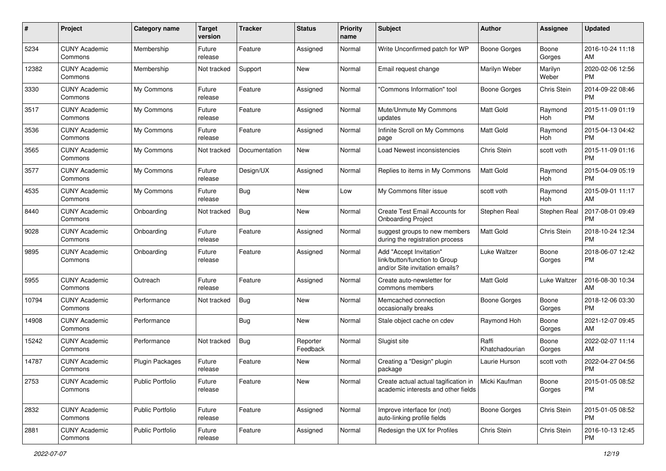| #     | Project                         | <b>Category name</b>    | <b>Target</b><br>version | <b>Tracker</b> | <b>Status</b>        | <b>Priority</b><br>name | <b>Subject</b>                                                                             | Author                  | <b>Assignee</b>  | <b>Updated</b>                |
|-------|---------------------------------|-------------------------|--------------------------|----------------|----------------------|-------------------------|--------------------------------------------------------------------------------------------|-------------------------|------------------|-------------------------------|
| 5234  | <b>CUNY Academic</b><br>Commons | Membership              | Future<br>release        | Feature        | Assigned             | Normal                  | Write Unconfirmed patch for WP                                                             | <b>Boone Gorges</b>     | Boone<br>Gorges  | 2016-10-24 11:18<br>AM        |
| 12382 | <b>CUNY Academic</b><br>Commons | Membership              | Not tracked              | Support        | New                  | Normal                  | Email request change                                                                       | Marilyn Weber           | Marilyn<br>Weber | 2020-02-06 12:56<br><b>PM</b> |
| 3330  | <b>CUNY Academic</b><br>Commons | My Commons              | Future<br>release        | Feature        | Assigned             | Normal                  | 'Commons Information" tool                                                                 | Boone Gorges            | Chris Stein      | 2014-09-22 08:46<br><b>PM</b> |
| 3517  | <b>CUNY Academic</b><br>Commons | My Commons              | Future<br>release        | Feature        | Assigned             | Normal                  | Mute/Unmute My Commons<br>updates                                                          | <b>Matt Gold</b>        | Raymond<br>Hoh   | 2015-11-09 01:19<br><b>PM</b> |
| 3536  | <b>CUNY Academic</b><br>Commons | My Commons              | Future<br>release        | Feature        | Assigned             | Normal                  | Infinite Scroll on My Commons<br>page                                                      | <b>Matt Gold</b>        | Raymond<br>Hoh   | 2015-04-13 04:42<br><b>PM</b> |
| 3565  | <b>CUNY Academic</b><br>Commons | My Commons              | Not tracked              | Documentation  | New                  | Normal                  | Load Newest inconsistencies                                                                | Chris Stein             | scott voth       | 2015-11-09 01:16<br><b>PM</b> |
| 3577  | <b>CUNY Academic</b><br>Commons | My Commons              | Future<br>release        | Design/UX      | Assigned             | Normal                  | Replies to items in My Commons                                                             | <b>Matt Gold</b>        | Raymond<br>Hoh   | 2015-04-09 05:19<br><b>PM</b> |
| 4535  | <b>CUNY Academic</b><br>Commons | My Commons              | Future<br>release        | Bug            | New                  | Low                     | My Commons filter issue                                                                    | scott voth              | Raymond<br>Hoh   | 2015-09-01 11:17<br>AM        |
| 8440  | <b>CUNY Academic</b><br>Commons | Onboarding              | Not tracked              | <b>Bug</b>     | New                  | Normal                  | Create Test Email Accounts for<br><b>Onboarding Project</b>                                | Stephen Real            | Stephen Real     | 2017-08-01 09:49<br><b>PM</b> |
| 9028  | <b>CUNY Academic</b><br>Commons | Onboarding              | Future<br>release        | Feature        | Assigned             | Normal                  | suggest groups to new members<br>during the registration process                           | <b>Matt Gold</b>        | Chris Stein      | 2018-10-24 12:34<br><b>PM</b> |
| 9895  | <b>CUNY Academic</b><br>Commons | Onboarding              | Future<br>release        | Feature        | Assigned             | Normal                  | Add "Accept Invitation"<br>link/button/function to Group<br>and/or Site invitation emails? | Luke Waltzer            | Boone<br>Gorges  | 2018-06-07 12:42<br><b>PM</b> |
| 5955  | <b>CUNY Academic</b><br>Commons | Outreach                | Future<br>release        | Feature        | Assigned             | Normal                  | Create auto-newsletter for<br>commons members                                              | <b>Matt Gold</b>        | Luke Waltzer     | 2016-08-30 10:34<br>AM        |
| 10794 | <b>CUNY Academic</b><br>Commons | Performance             | Not tracked              | <b>Bug</b>     | <b>New</b>           | Normal                  | Memcached connection<br>occasionally breaks                                                | <b>Boone Gorges</b>     | Boone<br>Gorges  | 2018-12-06 03:30<br><b>PM</b> |
| 14908 | <b>CUNY Academic</b><br>Commons | Performance             |                          | <b>Bug</b>     | <b>New</b>           | Normal                  | Stale object cache on cdev                                                                 | Raymond Hoh             | Boone<br>Gorges  | 2021-12-07 09:45<br>AM        |
| 15242 | <b>CUNY Academic</b><br>Commons | Performance             | Not tracked              | <b>Bug</b>     | Reporter<br>Feedback | Normal                  | Slugist site                                                                               | Raffi<br>Khatchadourian | Boone<br>Gorges  | 2022-02-07 11:14<br>AM        |
| 14787 | <b>CUNY Academic</b><br>Commons | <b>Plugin Packages</b>  | Future<br>release        | Feature        | New                  | Normal                  | Creating a "Design" plugin<br>package                                                      | Laurie Hurson           | scott voth       | 2022-04-27 04:56<br><b>PM</b> |
| 2753  | <b>CUNY Academic</b><br>Commons | <b>Public Portfolio</b> | Future<br>release        | Feature        | New                  | Normal                  | Create actual actual tagification in<br>academic interests and other fields                | Micki Kaufman           | Boone<br>Gorges  | 2015-01-05 08:52<br><b>PM</b> |
| 2832  | <b>CUNY Academic</b><br>Commons | Public Portfolio        | Future<br>release        | Feature        | Assigned             | Normal                  | Improve interface for (not)<br>auto-linking profile fields                                 | <b>Boone Gorges</b>     | Chris Stein      | 2015-01-05 08:52<br><b>PM</b> |
| 2881  | <b>CUNY Academic</b><br>Commons | Public Portfolio        | Future<br>release        | Feature        | Assigned             | Normal                  | Redesign the UX for Profiles                                                               | Chris Stein             | Chris Stein      | 2016-10-13 12:45<br><b>PM</b> |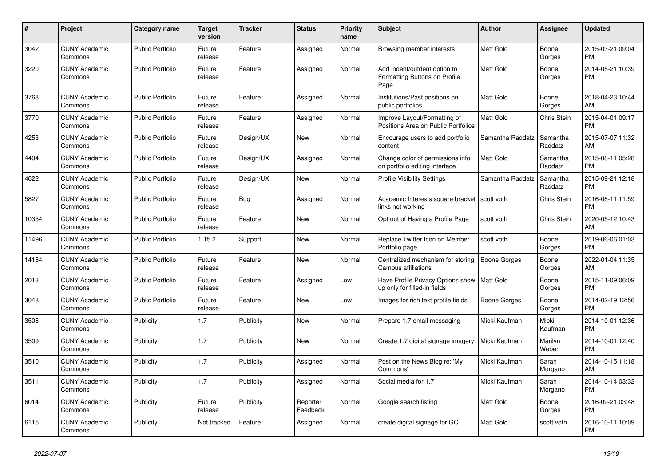| #     | <b>Project</b>                  | <b>Category name</b>    | <b>Target</b><br>version | <b>Tracker</b> | <b>Status</b>        | <b>Priority</b><br>name | <b>Subject</b>                                                                | <b>Author</b>    | Assignee            | <b>Updated</b>                |
|-------|---------------------------------|-------------------------|--------------------------|----------------|----------------------|-------------------------|-------------------------------------------------------------------------------|------------------|---------------------|-------------------------------|
| 3042  | <b>CUNY Academic</b><br>Commons | <b>Public Portfolio</b> | Future<br>release        | Feature        | Assigned             | Normal                  | Browsing member interests                                                     | <b>Matt Gold</b> | Boone<br>Gorges     | 2015-03-21 09:04<br><b>PM</b> |
| 3220  | <b>CUNY Academic</b><br>Commons | <b>Public Portfolio</b> | Future<br>release        | Feature        | Assigned             | Normal                  | Add indent/outdent option to<br>Formatting Buttons on Profile<br>Page         | <b>Matt Gold</b> | Boone<br>Gorges     | 2014-05-21 10:39<br><b>PM</b> |
| 3768  | <b>CUNY Academic</b><br>Commons | <b>Public Portfolio</b> | Future<br>release        | Feature        | Assigned             | Normal                  | Institutions/Past positions on<br>public portfolios                           | <b>Matt Gold</b> | Boone<br>Gorges     | 2018-04-23 10:44<br>AM        |
| 3770  | <b>CUNY Academic</b><br>Commons | <b>Public Portfolio</b> | Future<br>release        | Feature        | Assigned             | Normal                  | Improve Layout/Formatting of<br>Positions Area on Public Portfolios           | <b>Matt Gold</b> | Chris Stein         | 2015-04-01 09:17<br><b>PM</b> |
| 4253  | <b>CUNY Academic</b><br>Commons | Public Portfolio        | Future<br>release        | Design/UX      | New                  | Normal                  | Encourage users to add portfolio<br>content                                   | Samantha Raddatz | Samantha<br>Raddatz | 2015-07-07 11:32<br>AM        |
| 4404  | <b>CUNY Academic</b><br>Commons | <b>Public Portfolio</b> | Future<br>release        | Design/UX      | Assigned             | Normal                  | Change color of permissions info<br>on portfolio editing interface            | <b>Matt Gold</b> | Samantha<br>Raddatz | 2015-08-11 05:28<br><b>PM</b> |
| 4622  | <b>CUNY Academic</b><br>Commons | <b>Public Portfolio</b> | Future<br>release        | Design/UX      | New                  | Normal                  | <b>Profile Visibility Settings</b>                                            | Samantha Raddatz | Samantha<br>Raddatz | 2015-09-21 12:18<br><b>PM</b> |
| 5827  | <b>CUNY Academic</b><br>Commons | Public Portfolio        | Future<br>release        | <b>Bug</b>     | Assigned             | Normal                  | Academic Interests square bracket   scott voth<br>links not working           |                  | Chris Stein         | 2016-08-11 11:59<br><b>PM</b> |
| 10354 | <b>CUNY Academic</b><br>Commons | <b>Public Portfolio</b> | Future<br>release        | Feature        | New                  | Normal                  | Opt out of Having a Profile Page                                              | scott voth       | Chris Stein         | 2020-05-12 10:43<br>AM        |
| 11496 | <b>CUNY Academic</b><br>Commons | <b>Public Portfolio</b> | 1.15.2                   | Support        | New                  | Normal                  | Replace Twitter Icon on Member<br>Portfolio page                              | scott voth       | Boone<br>Gorges     | 2019-06-06 01:03<br><b>PM</b> |
| 14184 | <b>CUNY Academic</b><br>Commons | Public Portfolio        | Future<br>release        | Feature        | New                  | Normal                  | Centralized mechanism for storing<br>Campus affiliations                      | Boone Gorges     | Boone<br>Gorges     | 2022-01-04 11:35<br>AM        |
| 2013  | <b>CUNY Academic</b><br>Commons | <b>Public Portfolio</b> | Future<br>release        | Feature        | Assigned             | Low                     | Have Profile Privacy Options show   Matt Gold<br>up only for filled-in fields |                  | Boone<br>Gorges     | 2015-11-09 06:09<br><b>PM</b> |
| 3048  | <b>CUNY Academic</b><br>Commons | <b>Public Portfolio</b> | Future<br>release        | Feature        | <b>New</b>           | Low                     | Images for rich text profile fields                                           | Boone Gorges     | Boone<br>Gorges     | 2014-02-19 12:56<br><b>PM</b> |
| 3506  | <b>CUNY Academic</b><br>Commons | Publicity               | 1.7                      | Publicity      | New                  | Normal                  | Prepare 1.7 email messaging                                                   | Micki Kaufman    | Micki<br>Kaufman    | 2014-10-01 12:36<br><b>PM</b> |
| 3509  | <b>CUNY Academic</b><br>Commons | Publicity               | 1.7                      | Publicity      | New                  | Normal                  | Create 1.7 digital signage imagery                                            | Micki Kaufman    | Marilyn<br>Weber    | 2014-10-01 12:40<br><b>PM</b> |
| 3510  | <b>CUNY Academic</b><br>Commons | Publicity               | 1.7                      | Publicity      | Assigned             | Normal                  | Post on the News Blog re: 'My<br>Commons'                                     | Micki Kaufman    | Sarah<br>Morgano    | 2014-10-15 11:18<br>AM        |
| 3511  | <b>CUNY Academic</b><br>Commons | Publicity               | 1.7                      | Publicity      | Assigned             | Normal                  | Social media for 1.7                                                          | Micki Kaufman    | Sarah<br>Morgano    | 2014-10-14 03:32<br><b>PM</b> |
| 6014  | <b>CUNY Academic</b><br>Commons | Publicity               | Future<br>release        | Publicity      | Reporter<br>Feedback | Normal                  | Google search listing                                                         | <b>Matt Gold</b> | Boone<br>Gorges     | 2016-09-21 03:48<br><b>PM</b> |
| 6115  | <b>CUNY Academic</b><br>Commons | Publicity               | Not tracked              | Feature        | Assigned             | Normal                  | create digital signage for GC                                                 | <b>Matt Gold</b> | scott voth          | 2016-10-11 10:09<br><b>PM</b> |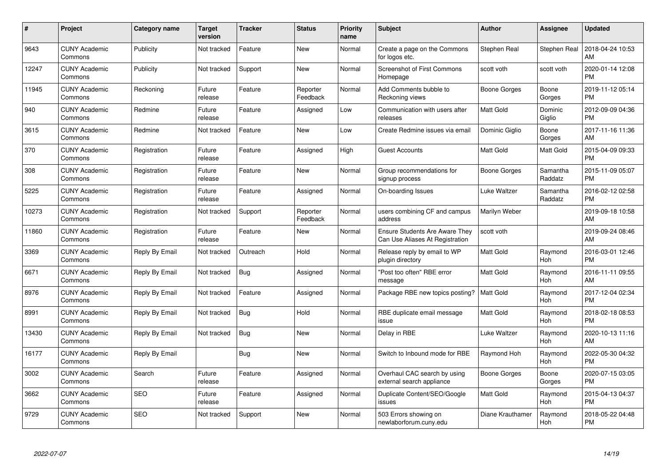| #     | <b>Project</b>                  | Category name  | <b>Target</b><br>version | <b>Tracker</b> | <b>Status</b>        | <b>Priority</b><br>name | <b>Subject</b>                                                           | <b>Author</b>    | Assignee            | <b>Updated</b>                |
|-------|---------------------------------|----------------|--------------------------|----------------|----------------------|-------------------------|--------------------------------------------------------------------------|------------------|---------------------|-------------------------------|
| 9643  | <b>CUNY Academic</b><br>Commons | Publicity      | Not tracked              | Feature        | <b>New</b>           | Normal                  | Create a page on the Commons<br>for logos etc.                           | Stephen Real     | Stephen Real        | 2018-04-24 10:53<br>AM        |
| 12247 | <b>CUNY Academic</b><br>Commons | Publicity      | Not tracked              | Support        | New                  | Normal                  | <b>Screenshot of First Commons</b><br>Homepage                           | scott voth       | scott voth          | 2020-01-14 12:08<br><b>PM</b> |
| 11945 | <b>CUNY Academic</b><br>Commons | Reckoning      | Future<br>release        | Feature        | Reporter<br>Feedback | Normal                  | Add Comments bubble to<br>Reckoning views                                | Boone Gorges     | Boone<br>Gorges     | 2019-11-12 05:14<br><b>PM</b> |
| 940   | <b>CUNY Academic</b><br>Commons | Redmine        | Future<br>release        | Feature        | Assigned             | Low                     | Communication with users after<br>releases                               | Matt Gold        | Dominic<br>Giglio   | 2012-09-09 04:36<br><b>PM</b> |
| 3615  | <b>CUNY Academic</b><br>Commons | Redmine        | Not tracked              | Feature        | <b>New</b>           | Low                     | Create Redmine issues via email                                          | Dominic Giglio   | Boone<br>Gorges     | 2017-11-16 11:36<br>AM        |
| 370   | <b>CUNY Academic</b><br>Commons | Registration   | Future<br>release        | Feature        | Assigned             | High                    | Guest Accounts                                                           | Matt Gold        | Matt Gold           | 2015-04-09 09:33<br><b>PM</b> |
| 308   | <b>CUNY Academic</b><br>Commons | Registration   | Future<br>release        | Feature        | New                  | Normal                  | Group recommendations for<br>signup process                              | Boone Gorges     | Samantha<br>Raddatz | 2015-11-09 05:07<br><b>PM</b> |
| 5225  | <b>CUNY Academic</b><br>Commons | Registration   | Future<br>release        | Feature        | Assigned             | Normal                  | On-boarding Issues                                                       | Luke Waltzer     | Samantha<br>Raddatz | 2016-02-12 02:58<br><b>PM</b> |
| 10273 | <b>CUNY Academic</b><br>Commons | Registration   | Not tracked              | Support        | Reporter<br>Feedback | Normal                  | users combining CF and campus<br>address                                 | Marilyn Weber    |                     | 2019-09-18 10:58<br>AM        |
| 11860 | <b>CUNY Academic</b><br>Commons | Registration   | Future<br>release        | Feature        | <b>New</b>           | Normal                  | <b>Ensure Students Are Aware They</b><br>Can Use Aliases At Registration | scott voth       |                     | 2019-09-24 08:46<br>AM        |
| 3369  | <b>CUNY Academic</b><br>Commons | Reply By Email | Not tracked              | Outreach       | Hold                 | Normal                  | Release reply by email to WP<br>plugin directory                         | Matt Gold        | Raymond<br>Hoh      | 2016-03-01 12:46<br><b>PM</b> |
| 6671  | <b>CUNY Academic</b><br>Commons | Reply By Email | Not tracked              | <b>Bug</b>     | Assigned             | Normal                  | "Post too often" RBE error<br>message                                    | <b>Matt Gold</b> | Raymond<br>Hoh      | 2016-11-11 09:55<br>AM        |
| 8976  | <b>CUNY Academic</b><br>Commons | Reply By Email | Not tracked              | Feature        | Assigned             | Normal                  | Package RBE new topics posting?                                          | Matt Gold        | Raymond<br>Hoh      | 2017-12-04 02:34<br><b>PM</b> |
| 8991  | <b>CUNY Academic</b><br>Commons | Reply By Email | Not tracked              | <b>Bug</b>     | Hold                 | Normal                  | RBE duplicate email message<br>issue                                     | Matt Gold        | Raymond<br>Hoh      | 2018-02-18 08:53<br><b>PM</b> |
| 13430 | <b>CUNY Academic</b><br>Commons | Reply By Email | Not tracked              | <b>Bug</b>     | New                  | Normal                  | Delay in RBE                                                             | Luke Waltzer     | Raymond<br>Hoh      | 2020-10-13 11:16<br>AM        |
| 16177 | <b>CUNY Academic</b><br>Commons | Reply By Email |                          | Bug            | New                  | Normal                  | Switch to Inbound mode for RBE                                           | Raymond Hoh      | Raymond<br>Hoh      | 2022-05-30 04:32<br><b>PM</b> |
| 3002  | <b>CUNY Academic</b><br>Commons | Search         | Future<br>release        | Feature        | Assigned             | Normal                  | Overhaul CAC search by using<br>external search appliance                | Boone Gorges     | Boone<br>Gorges     | 2020-07-15 03:05<br><b>PM</b> |
| 3662  | <b>CUNY Academic</b><br>Commons | <b>SEO</b>     | Future<br>release        | Feature        | Assigned             | Normal                  | Duplicate Content/SEO/Google<br>issues                                   | Matt Gold        | Raymond<br>Hoh      | 2015-04-13 04:37<br><b>PM</b> |
| 9729  | <b>CUNY Academic</b><br>Commons | <b>SEO</b>     | Not tracked              | Support        | <b>New</b>           | Normal                  | 503 Errors showing on<br>newlaborforum.cuny.edu                          | Diane Krauthamer | Raymond<br>Hoh      | 2018-05-22 04:48<br><b>PM</b> |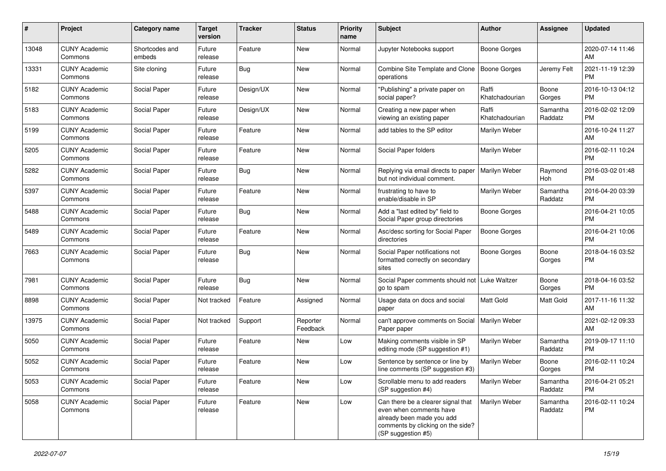| #     | Project                         | <b>Category name</b>     | <b>Target</b><br>version | <b>Tracker</b> | <b>Status</b>        | <b>Priority</b><br>name | <b>Subject</b>                                                                                                                                        | <b>Author</b>           | <b>Assignee</b>     | <b>Updated</b>                |
|-------|---------------------------------|--------------------------|--------------------------|----------------|----------------------|-------------------------|-------------------------------------------------------------------------------------------------------------------------------------------------------|-------------------------|---------------------|-------------------------------|
| 13048 | <b>CUNY Academic</b><br>Commons | Shortcodes and<br>embeds | Future<br>release        | Feature        | <b>New</b>           | Normal                  | Jupyter Notebooks support                                                                                                                             | Boone Gorges            |                     | 2020-07-14 11:46<br>AM        |
| 13331 | <b>CUNY Academic</b><br>Commons | Site cloning             | Future<br>release        | <b>Bug</b>     | New                  | Normal                  | Combine Site Template and Clone<br>operations                                                                                                         | Boone Gorges            | Jeremy Felt         | 2021-11-19 12:39<br><b>PM</b> |
| 5182  | <b>CUNY Academic</b><br>Commons | Social Paper             | Future<br>release        | Design/UX      | New                  | Normal                  | "Publishing" a private paper on<br>social paper?                                                                                                      | Raffi<br>Khatchadourian | Boone<br>Gorges     | 2016-10-13 04:12<br>PM        |
| 5183  | <b>CUNY Academic</b><br>Commons | Social Paper             | Future<br>release        | Design/UX      | New                  | Normal                  | Creating a new paper when<br>viewing an existing paper                                                                                                | Raffi<br>Khatchadourian | Samantha<br>Raddatz | 2016-02-02 12:09<br>PM        |
| 5199  | <b>CUNY Academic</b><br>Commons | Social Paper             | Future<br>release        | Feature        | <b>New</b>           | Normal                  | add tables to the SP editor                                                                                                                           | Marilyn Weber           |                     | 2016-10-24 11:27<br>AM        |
| 5205  | <b>CUNY Academic</b><br>Commons | Social Paper             | Future<br>release        | Feature        | New                  | Normal                  | Social Paper folders                                                                                                                                  | Marilyn Weber           |                     | 2016-02-11 10:24<br>PM        |
| 5282  | <b>CUNY Academic</b><br>Commons | Social Paper             | Future<br>release        | <b>Bug</b>     | <b>New</b>           | Normal                  | Replying via email directs to paper<br>but not individual comment.                                                                                    | Marilyn Weber           | Raymond<br>Hoh      | 2016-03-02 01:48<br><b>PM</b> |
| 5397  | <b>CUNY Academic</b><br>Commons | Social Paper             | Future<br>release        | Feature        | <b>New</b>           | Normal                  | frustrating to have to<br>enable/disable in SP                                                                                                        | Marilyn Weber           | Samantha<br>Raddatz | 2016-04-20 03:39<br>PM        |
| 5488  | <b>CUNY Academic</b><br>Commons | Social Paper             | Future<br>release        | <b>Bug</b>     | New                  | Normal                  | Add a "last edited by" field to<br>Social Paper group directories                                                                                     | <b>Boone Gorges</b>     |                     | 2016-04-21 10:05<br><b>PM</b> |
| 5489  | <b>CUNY Academic</b><br>Commons | Social Paper             | Future<br>release        | Feature        | <b>New</b>           | Normal                  | Asc/desc sorting for Social Paper<br>directories                                                                                                      | Boone Gorges            |                     | 2016-04-21 10:06<br>PM        |
| 7663  | <b>CUNY Academic</b><br>Commons | Social Paper             | Future<br>release        | Bug            | <b>New</b>           | Normal                  | Social Paper notifications not<br>formatted correctly on secondary<br>sites                                                                           | Boone Gorges            | Boone<br>Gorges     | 2018-04-16 03:52<br>PM        |
| 7981  | <b>CUNY Academic</b><br>Commons | Social Paper             | Future<br>release        | <b>Bug</b>     | <b>New</b>           | Normal                  | Social Paper comments should not<br>go to spam                                                                                                        | Luke Waltzer            | Boone<br>Gorges     | 2018-04-16 03:52<br><b>PM</b> |
| 8898  | <b>CUNY Academic</b><br>Commons | Social Paper             | Not tracked              | Feature        | Assigned             | Normal                  | Usage data on docs and social<br>paper                                                                                                                | <b>Matt Gold</b>        | Matt Gold           | 2017-11-16 11:32<br>AM        |
| 13975 | <b>CUNY Academic</b><br>Commons | Social Paper             | Not tracked              | Support        | Reporter<br>Feedback | Normal                  | can't approve comments on Social<br>Paper paper                                                                                                       | Marilyn Weber           |                     | 2021-02-12 09:33<br>AM        |
| 5050  | <b>CUNY Academic</b><br>Commons | Social Paper             | Future<br>release        | Feature        | New                  | Low                     | Making comments visible in SP<br>editing mode (SP suggestion #1)                                                                                      | Marilyn Weber           | Samantha<br>Raddatz | 2019-09-17 11:10<br>PM        |
| 5052  | <b>CUNY Academic</b><br>Commons | Social Paper             | Future<br>release        | Feature        | New                  | Low                     | Sentence by sentence or line by<br>line comments (SP suggestion #3)                                                                                   | Marilyn Weber           | Boone<br>Gorges     | 2016-02-11 10:24<br>PM        |
| 5053  | <b>CUNY Academic</b><br>Commons | Social Paper             | Future<br>release        | Feature        | New                  | Low                     | Scrollable menu to add readers<br>(SP suggestion #4)                                                                                                  | Marilyn Weber           | Samantha<br>Raddatz | 2016-04-21 05:21<br>PM        |
| 5058  | <b>CUNY Academic</b><br>Commons | Social Paper             | Future<br>release        | Feature        | New                  | Low                     | Can there be a clearer signal that<br>even when comments have<br>already been made you add<br>comments by clicking on the side?<br>(SP suggestion #5) | Marilyn Weber           | Samantha<br>Raddatz | 2016-02-11 10:24<br>PM        |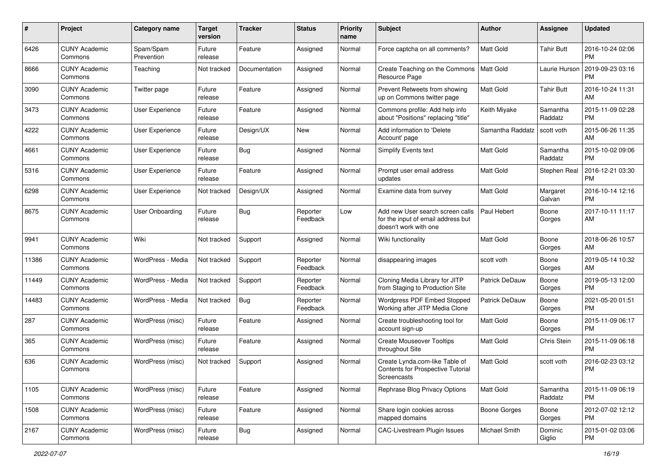| #     | Project                         | <b>Category name</b>    | <b>Target</b><br>version | <b>Tracker</b> | <b>Status</b>        | <b>Priority</b><br>name | <b>Subject</b>                                                                                  | Author              | <b>Assignee</b>     | <b>Updated</b>                |
|-------|---------------------------------|-------------------------|--------------------------|----------------|----------------------|-------------------------|-------------------------------------------------------------------------------------------------|---------------------|---------------------|-------------------------------|
| 6426  | <b>CUNY Academic</b><br>Commons | Spam/Spam<br>Prevention | Future<br>release        | Feature        | Assigned             | Normal                  | Force captcha on all comments?                                                                  | <b>Matt Gold</b>    | <b>Tahir Butt</b>   | 2016-10-24 02:06<br>PM        |
| 8666  | <b>CUNY Academic</b><br>Commons | Teaching                | Not tracked              | Documentation  | Assigned             | Normal                  | Create Teaching on the Commons<br>Resource Page                                                 | Matt Gold           | Laurie Hurson       | 2019-09-23 03:16<br><b>PM</b> |
| 3090  | <b>CUNY Academic</b><br>Commons | Twitter page            | Future<br>release        | Feature        | Assigned             | Normal                  | Prevent Retweets from showing<br>up on Commons twitter page                                     | Matt Gold           | <b>Tahir Butt</b>   | 2016-10-24 11:31<br>AM        |
| 3473  | <b>CUNY Academic</b><br>Commons | User Experience         | Future<br>release        | Feature        | Assigned             | Normal                  | Commons profile: Add help info<br>about "Positions" replacing "title"                           | Keith Miyake        | Samantha<br>Raddatz | 2015-11-09 02:28<br><b>PM</b> |
| 4222  | <b>CUNY Academic</b><br>Commons | User Experience         | Future<br>release        | Design/UX      | New                  | Normal                  | Add information to 'Delete<br>Account' page                                                     | Samantha Raddatz    | scott voth          | 2015-06-26 11:35<br>AM        |
| 4661  | <b>CUNY Academic</b><br>Commons | User Experience         | Future<br>release        | <b>Bug</b>     | Assigned             | Normal                  | <b>Simplify Events text</b>                                                                     | Matt Gold           | Samantha<br>Raddatz | 2015-10-02 09:06<br><b>PM</b> |
| 5316  | <b>CUNY Academic</b><br>Commons | User Experience         | Future<br>release        | Feature        | Assigned             | Normal                  | Prompt user email address<br>updates                                                            | Matt Gold           | Stephen Real        | 2016-12-21 03:30<br><b>PM</b> |
| 6298  | <b>CUNY Academic</b><br>Commons | User Experience         | Not tracked              | Design/UX      | Assigned             | Normal                  | Examine data from survey                                                                        | <b>Matt Gold</b>    | Margaret<br>Galvan  | 2016-10-14 12:16<br><b>PM</b> |
| 8675  | <b>CUNY Academic</b><br>Commons | <b>User Onboarding</b>  | Future<br>release        | <b>Bug</b>     | Reporter<br>Feedback | Low                     | Add new User search screen calls<br>for the input of email address but<br>doesn't work with one | Paul Hebert         | Boone<br>Gorges     | 2017-10-11 11:17<br>AM        |
| 9941  | <b>CUNY Academic</b><br>Commons | Wiki                    | Not tracked              | Support        | Assigned             | Normal                  | Wiki functionality                                                                              | <b>Matt Gold</b>    | Boone<br>Gorges     | 2018-06-26 10:57<br>AM        |
| 11386 | <b>CUNY Academic</b><br>Commons | WordPress - Media       | Not tracked              | Support        | Reporter<br>Feedback | Normal                  | disappearing images                                                                             | scott voth          | Boone<br>Gorges     | 2019-05-14 10:32<br>AM        |
| 11449 | CUNY Academic<br>Commons        | WordPress - Media       | Not tracked              | Support        | Reporter<br>Feedback | Normal                  | Cloning Media Library for JITP<br>from Staging to Production Site                               | Patrick DeDauw      | Boone<br>Gorges     | 2019-05-13 12:00<br><b>PM</b> |
| 14483 | <b>CUNY Academic</b><br>Commons | WordPress - Media       | Not tracked              | <b>Bug</b>     | Reporter<br>Feedback | Normal                  | Wordpress PDF Embed Stopped<br>Working after JITP Media Clone                                   | Patrick DeDauw      | Boone<br>Gorges     | 2021-05-20 01:51<br><b>PM</b> |
| 287   | <b>CUNY Academic</b><br>Commons | WordPress (misc)        | Future<br>release        | Feature        | Assigned             | Normal                  | Create troubleshooting tool for<br>account sign-up                                              | Matt Gold           | Boone<br>Gorges     | 2015-11-09 06:17<br><b>PM</b> |
| 365   | <b>CUNY Academic</b><br>Commons | WordPress (misc)        | Future<br>release        | Feature        | Assigned             | Normal                  | <b>Create Mouseover Tooltips</b><br>throughout Site                                             | Matt Gold           | Chris Stein         | 2015-11-09 06:18<br><b>PM</b> |
| 636   | <b>CUNY Academic</b><br>Commons | WordPress (misc)        | Not tracked              | Support        | Assigned             | Normal                  | Create Lynda.com-like Table of<br>Contents for Prospective Tutorial<br>Screencasts              | <b>Matt Gold</b>    | scott voth          | 2016-02-23 03:12<br><b>PM</b> |
| 1105  | <b>CUNY Academic</b><br>Commons | WordPress (misc)        | Future<br>release        | Feature        | Assigned             | Normal                  | Rephrase Blog Privacy Options                                                                   | <b>Matt Gold</b>    | Samantha<br>Raddatz | 2015-11-09 06:19<br><b>PM</b> |
| 1508  | <b>CUNY Academic</b><br>Commons | WordPress (misc)        | Future<br>release        | Feature        | Assigned             | Normal                  | Share login cookies across<br>mapped domains                                                    | <b>Boone Gorges</b> | Boone<br>Gorges     | 2012-07-02 12:12<br><b>PM</b> |
| 2167  | <b>CUNY Academic</b><br>Commons | WordPress (misc)        | Future<br>release        | <b>Bug</b>     | Assigned             | Normal                  | <b>CAC-Livestream Plugin Issues</b>                                                             | Michael Smith       | Dominic<br>Giglio   | 2015-01-02 03:06<br><b>PM</b> |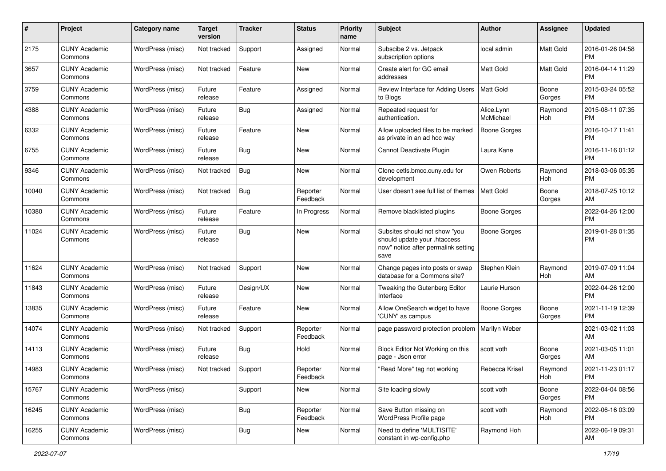| #     | Project                         | <b>Category name</b> | <b>Target</b><br>version | <b>Tracker</b> | <b>Status</b>        | <b>Priority</b><br>name | Subject                                                                                                      | Author                  | <b>Assignee</b> | <b>Updated</b>                |
|-------|---------------------------------|----------------------|--------------------------|----------------|----------------------|-------------------------|--------------------------------------------------------------------------------------------------------------|-------------------------|-----------------|-------------------------------|
| 2175  | <b>CUNY Academic</b><br>Commons | WordPress (misc)     | Not tracked              | Support        | Assigned             | Normal                  | Subscibe 2 vs. Jetpack<br>subscription options                                                               | local admin             | Matt Gold       | 2016-01-26 04:58<br><b>PM</b> |
| 3657  | <b>CUNY Academic</b><br>Commons | WordPress (misc)     | Not tracked              | Feature        | New                  | Normal                  | Create alert for GC email<br>addresses                                                                       | <b>Matt Gold</b>        | Matt Gold       | 2016-04-14 11:29<br><b>PM</b> |
| 3759  | <b>CUNY Academic</b><br>Commons | WordPress (misc)     | Future<br>release        | Feature        | Assigned             | Normal                  | Review Interface for Adding Users<br>to Blogs                                                                | <b>Matt Gold</b>        | Boone<br>Gorges | 2015-03-24 05:52<br><b>PM</b> |
| 4388  | <b>CUNY Academic</b><br>Commons | WordPress (misc)     | Future<br>release        | <b>Bug</b>     | Assigned             | Normal                  | Repeated request for<br>authentication.                                                                      | Alice.Lynn<br>McMichael | Raymond<br>Hoh  | 2015-08-11 07:35<br><b>PM</b> |
| 6332  | <b>CUNY Academic</b><br>Commons | WordPress (misc)     | Future<br>release        | Feature        | New                  | Normal                  | Allow uploaded files to be marked<br>as private in an ad hoc way                                             | <b>Boone Gorges</b>     |                 | 2016-10-17 11:41<br><b>PM</b> |
| 6755  | <b>CUNY Academic</b><br>Commons | WordPress (misc)     | Future<br>release        | <b>Bug</b>     | <b>New</b>           | Normal                  | Cannot Deactivate Plugin                                                                                     | Laura Kane              |                 | 2016-11-16 01:12<br><b>PM</b> |
| 9346  | <b>CUNY Academic</b><br>Commons | WordPress (misc)     | Not tracked              | <b>Bug</b>     | New                  | Normal                  | Clone cetls.bmcc.cuny.edu for<br>development                                                                 | Owen Roberts            | Raymond<br>Hoh  | 2018-03-06 05:35<br><b>PM</b> |
| 10040 | <b>CUNY Academic</b><br>Commons | WordPress (misc)     | Not tracked              | <b>Bug</b>     | Reporter<br>Feedback | Normal                  | User doesn't see full list of themes                                                                         | <b>Matt Gold</b>        | Boone<br>Gorges | 2018-07-25 10:12<br>AM        |
| 10380 | <b>CUNY Academic</b><br>Commons | WordPress (misc)     | Future<br>release        | Feature        | In Progress          | Normal                  | Remove blacklisted plugins                                                                                   | <b>Boone Gorges</b>     |                 | 2022-04-26 12:00<br><b>PM</b> |
| 11024 | <b>CUNY Academic</b><br>Commons | WordPress (misc)     | Future<br>release        | <b>Bug</b>     | New                  | Normal                  | Subsites should not show "you<br>should update your .htaccess<br>now" notice after permalink setting<br>save | <b>Boone Gorges</b>     |                 | 2019-01-28 01:35<br><b>PM</b> |
| 11624 | <b>CUNY Academic</b><br>Commons | WordPress (misc)     | Not tracked              | Support        | New                  | Normal                  | Change pages into posts or swap<br>database for a Commons site?                                              | Stephen Klein           | Raymond<br>Hoh  | 2019-07-09 11:04<br>AM        |
| 11843 | <b>CUNY Academic</b><br>Commons | WordPress (misc)     | Future<br>release        | Design/UX      | New                  | Normal                  | Tweaking the Gutenberg Editor<br>Interface                                                                   | Laurie Hurson           |                 | 2022-04-26 12:00<br><b>PM</b> |
| 13835 | <b>CUNY Academic</b><br>Commons | WordPress (misc)     | Future<br>release        | Feature        | New                  | Normal                  | Allow OneSearch widget to have<br>'CUNY' as campus                                                           | <b>Boone Gorges</b>     | Boone<br>Gorges | 2021-11-19 12:39<br><b>PM</b> |
| 14074 | <b>CUNY Academic</b><br>Commons | WordPress (misc)     | Not tracked              | Support        | Reporter<br>Feedback | Normal                  | page password protection problem                                                                             | Marilyn Weber           |                 | 2021-03-02 11:03<br>AM        |
| 14113 | <b>CUNY Academic</b><br>Commons | WordPress (misc)     | Future<br>release        | <b>Bug</b>     | Hold                 | Normal                  | Block Editor Not Working on this<br>page - Json error                                                        | scott voth              | Boone<br>Gorges | 2021-03-05 11:01<br>AM        |
| 14983 | CUNY Academic<br>Commons        | WordPress (misc)     | Not tracked              | Support        | Reporter<br>Feedback | Normal                  | "Read More" tag not working                                                                                  | Rebecca Krisel          | Raymond<br>Hoh  | 2021-11-23 01:17<br>PM        |
| 15767 | <b>CUNY Academic</b><br>Commons | WordPress (misc)     |                          | Support        | New                  | Normal                  | Site loading slowly                                                                                          | scott voth              | Boone<br>Gorges | 2022-04-04 08:56<br>PM        |
| 16245 | <b>CUNY Academic</b><br>Commons | WordPress (misc)     |                          | <b>Bug</b>     | Reporter<br>Feedback | Normal                  | Save Button missing on<br>WordPress Profile page                                                             | scott voth              | Raymond<br>Hoh  | 2022-06-16 03:09<br><b>PM</b> |
| 16255 | <b>CUNY Academic</b><br>Commons | WordPress (misc)     |                          | <b>Bug</b>     | New                  | Normal                  | Need to define 'MULTISITE'<br>constant in wp-config.php                                                      | Raymond Hoh             |                 | 2022-06-19 09:31<br>AM        |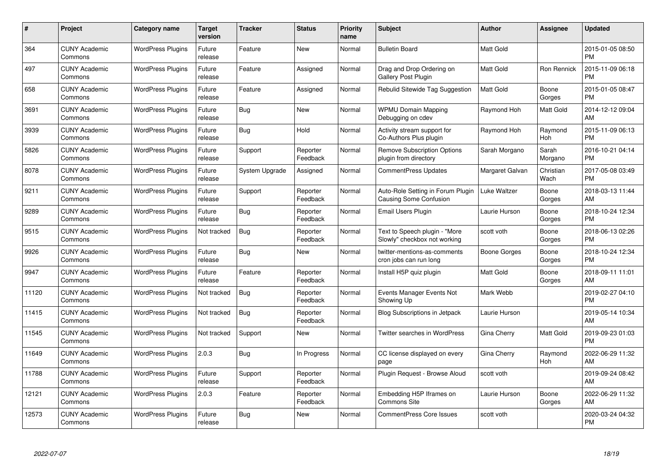| $\#$  | Project                         | <b>Category name</b>     | <b>Target</b><br>version | <b>Tracker</b> | <b>Status</b>        | <b>Priority</b><br>name | <b>Subject</b>                                                | <b>Author</b>    | <b>Assignee</b>   | <b>Updated</b>                |
|-------|---------------------------------|--------------------------|--------------------------|----------------|----------------------|-------------------------|---------------------------------------------------------------|------------------|-------------------|-------------------------------|
| 364   | <b>CUNY Academic</b><br>Commons | <b>WordPress Plugins</b> | Future<br>release        | Feature        | <b>New</b>           | Normal                  | <b>Bulletin Board</b>                                         | <b>Matt Gold</b> |                   | 2015-01-05 08:50<br><b>PM</b> |
| 497   | <b>CUNY Academic</b><br>Commons | <b>WordPress Plugins</b> | Future<br>release        | Feature        | Assigned             | Normal                  | Drag and Drop Ordering on<br><b>Gallery Post Plugin</b>       | <b>Matt Gold</b> | Ron Rennick       | 2015-11-09 06:18<br><b>PM</b> |
| 658   | <b>CUNY Academic</b><br>Commons | <b>WordPress Plugins</b> | Future<br>release        | Feature        | Assigned             | Normal                  | Rebulid Sitewide Tag Suggestion                               | Matt Gold        | Boone<br>Gorges   | 2015-01-05 08:47<br><b>PM</b> |
| 3691  | <b>CUNY Academic</b><br>Commons | <b>WordPress Plugins</b> | Future<br>release        | Bug            | <b>New</b>           | Normal                  | <b>WPMU Domain Mapping</b><br>Debugging on cdev               | Raymond Hoh      | Matt Gold         | 2014-12-12 09:04<br>AM        |
| 3939  | <b>CUNY Academic</b><br>Commons | <b>WordPress Plugins</b> | Future<br>release        | Bug            | Hold                 | Normal                  | Activity stream support for<br>Co-Authors Plus plugin         | Raymond Hoh      | Raymond<br>Hoh    | 2015-11-09 06:13<br><b>PM</b> |
| 5826  | <b>CUNY Academic</b><br>Commons | <b>WordPress Plugins</b> | Future<br>release        | Support        | Reporter<br>Feedback | Normal                  | <b>Remove Subscription Options</b><br>plugin from directory   | Sarah Morgano    | Sarah<br>Morgano  | 2016-10-21 04:14<br><b>PM</b> |
| 8078  | <b>CUNY Academic</b><br>Commons | <b>WordPress Plugins</b> | Future<br>release        | System Upgrade | Assigned             | Normal                  | <b>CommentPress Updates</b>                                   | Margaret Galvan  | Christian<br>Wach | 2017-05-08 03:49<br><b>PM</b> |
| 9211  | <b>CUNY Academic</b><br>Commons | <b>WordPress Plugins</b> | Future<br>release        | Support        | Reporter<br>Feedback | Normal                  | Auto-Role Setting in Forum Plugin<br>Causing Some Confusion   | Luke Waltzer     | Boone<br>Gorges   | 2018-03-13 11:44<br>AM        |
| 9289  | <b>CUNY Academic</b><br>Commons | <b>WordPress Plugins</b> | Future<br>release        | Bug            | Reporter<br>Feedback | Normal                  | Email Users Plugin                                            | Laurie Hurson    | Boone<br>Gorges   | 2018-10-24 12:34<br><b>PM</b> |
| 9515  | <b>CUNY Academic</b><br>Commons | <b>WordPress Plugins</b> | Not tracked              | Bug            | Reporter<br>Feedback | Normal                  | Text to Speech plugin - "More<br>Slowly" checkbox not working | scott voth       | Boone<br>Gorges   | 2018-06-13 02:26<br><b>PM</b> |
| 9926  | <b>CUNY Academic</b><br>Commons | <b>WordPress Plugins</b> | Future<br>release        | <b>Bug</b>     | New                  | Normal                  | twitter-mentions-as-comments<br>cron jobs can run long        | Boone Gorges     | Boone<br>Gorges   | 2018-10-24 12:34<br><b>PM</b> |
| 9947  | <b>CUNY Academic</b><br>Commons | <b>WordPress Plugins</b> | Future<br>release        | Feature        | Reporter<br>Feedback | Normal                  | Install H5P quiz plugin                                       | <b>Matt Gold</b> | Boone<br>Gorges   | 2018-09-11 11:01<br>AM        |
| 11120 | <b>CUNY Academic</b><br>Commons | <b>WordPress Plugins</b> | Not tracked              | Bug            | Reporter<br>Feedback | Normal                  | Events Manager Events Not<br>Showing Up                       | Mark Webb        |                   | 2019-02-27 04:10<br><b>PM</b> |
| 11415 | <b>CUNY Academic</b><br>Commons | <b>WordPress Plugins</b> | Not tracked              | <b>Bug</b>     | Reporter<br>Feedback | Normal                  | <b>Blog Subscriptions in Jetpack</b>                          | Laurie Hurson    |                   | 2019-05-14 10:34<br>AM        |
| 11545 | <b>CUNY Academic</b><br>Commons | <b>WordPress Plugins</b> | Not tracked              | Support        | <b>New</b>           | Normal                  | Twitter searches in WordPress                                 | Gina Cherry      | Matt Gold         | 2019-09-23 01:03<br><b>PM</b> |
| 11649 | <b>CUNY Academic</b><br>Commons | <b>WordPress Plugins</b> | 2.0.3                    | Bug            | In Progress          | Normal                  | CC license displayed on every<br>page                         | Gina Cherry      | Raymond<br>Hoh    | 2022-06-29 11:32<br>AM        |
| 11788 | <b>CUNY Academic</b><br>Commons | <b>WordPress Plugins</b> | Future<br>release        | Support        | Reporter<br>Feedback | Normal                  | Plugin Request - Browse Aloud                                 | scott voth       |                   | 2019-09-24 08:42<br>AM        |
| 12121 | <b>CUNY Academic</b><br>Commons | <b>WordPress Plugins</b> | 2.0.3                    | Feature        | Reporter<br>Feedback | Normal                  | Embedding H5P Iframes on<br>Commons Site                      | Laurie Hurson    | Boone<br>Gorges   | 2022-06-29 11:32<br>AM        |
| 12573 | CUNY Academic<br>Commons        | <b>WordPress Plugins</b> | Future<br>release        | Bug            | <b>New</b>           | Normal                  | <b>CommentPress Core Issues</b>                               | scott voth       |                   | 2020-03-24 04:32<br><b>PM</b> |